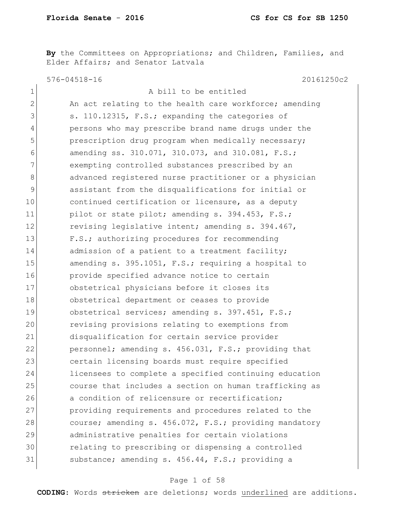**By** the Committees on Appropriations; and Children, Families, and Elder Affairs; and Senator Latvala

| $576 - 04518 - 16$ |  |  |  |
|--------------------|--|--|--|
|                    |  |  |  |

20161250c2

| $\mathbf 1$ | A bill to be entitled                                  |
|-------------|--------------------------------------------------------|
| 2           | An act relating to the health care workforce; amending |
| 3           | s. 110.12315, F.S.; expanding the categories of        |
| 4           | persons who may prescribe brand name drugs under the   |
| 5           | prescription drug program when medically necessary;    |
| 6           | amending ss. 310.071, 310.073, and 310.081, F.S.;      |
| 7           | exempting controlled substances prescribed by an       |
| 8           | advanced registered nurse practitioner or a physician  |
| 9           | assistant from the disqualifications for initial or    |
| 10          | continued certification or licensure, as a deputy      |
| 11          | pilot or state pilot; amending s. 394.453, F.S.;       |
| 12          | revising legislative intent; amending s. 394.467,      |
| 13          | F.S.; authorizing procedures for recommending          |
| 14          | admission of a patient to a treatment facility;        |
| 15          | amending s. 395.1051, F.S.; requiring a hospital to    |
| 16          | provide specified advance notice to certain            |
| 17          | obstetrical physicians before it closes its            |
| 18          | obstetrical department or ceases to provide            |
| 19          | obstetrical services; amending s. 397.451, F.S.;       |
| 20          | revising provisions relating to exemptions from        |
| 21          | disqualification for certain service provider          |
| 22          | personnel; amending s. 456.031, F.S.; providing that   |
| 23          | certain licensing boards must require specified        |
| 24          | licensees to complete a specified continuing education |
| 25          | course that includes a section on human trafficking as |
| 26          | a condition of relicensure or recertification;         |
| 27          | providing requirements and procedures related to the   |
| 28          | course; amending s. 456.072, F.S.; providing mandatory |
| 29          | administrative penalties for certain violations        |
| 30          | relating to prescribing or dispensing a controlled     |
| 31          | substance; amending s. 456.44, F.S.; providing a       |
|             |                                                        |

### Page 1 of 58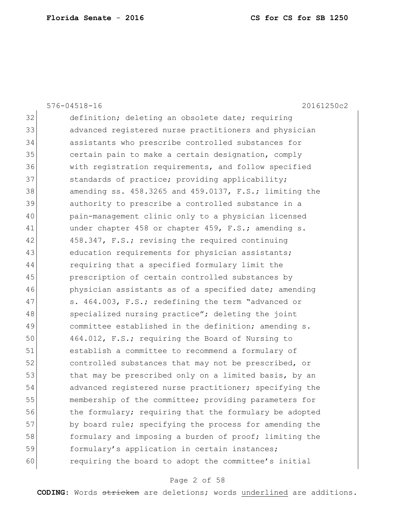|    | $576 - 04518 - 16$<br>20161250c2                       |
|----|--------------------------------------------------------|
| 32 | definition; deleting an obsolete date; requiring       |
| 33 | advanced registered nurse practitioners and physician  |
| 34 | assistants who prescribe controlled substances for     |
| 35 | certain pain to make a certain designation, comply     |
| 36 | with registration requirements, and follow specified   |
| 37 | standards of practice; providing applicability;        |
| 38 | amending ss. 458.3265 and 459.0137, F.S.; limiting the |
| 39 | authority to prescribe a controlled substance in a     |
| 40 | pain-management clinic only to a physician licensed    |
| 41 | under chapter 458 or chapter 459, F.S.; amending s.    |
| 42 | 458.347, F.S.; revising the required continuing        |
| 43 | education requirements for physician assistants;       |
| 44 | requiring that a specified formulary limit the         |
| 45 | prescription of certain controlled substances by       |
| 46 | physician assistants as of a specified date; amending  |
| 47 | s. 464.003, F.S.; redefining the term "advanced or     |
| 48 | specialized nursing practice"; deleting the joint      |
| 49 | committee established in the definition; amending s.   |
| 50 | 464.012, F.S.; requiring the Board of Nursing to       |
| 51 | establish a committee to recommend a formulary of      |
| 52 | controlled substances that may not be prescribed, or   |
| 53 | that may be prescribed only on a limited basis, by an  |
| 54 | advanced registered nurse practitioner; specifying the |
| 55 | membership of the committee; providing parameters for  |
| 56 | the formulary; requiring that the formulary be adopted |
| 57 | by board rule; specifying the process for amending the |
| 58 | formulary and imposing a burden of proof; limiting the |
| 59 | formulary's application in certain instances;          |
| 60 | requiring the board to adopt the committee's initial   |
|    |                                                        |

# Page 2 of 58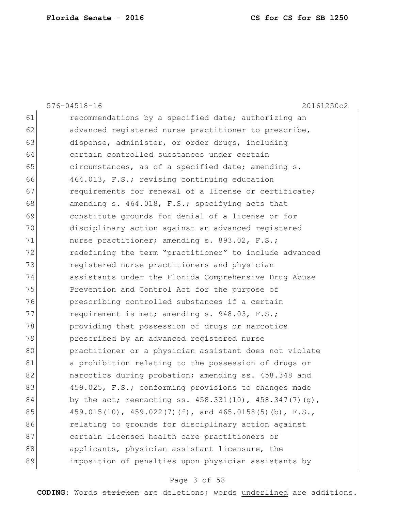|    | 20161250c2<br>$576 - 04518 - 16$                             |
|----|--------------------------------------------------------------|
| 61 | recommendations by a specified date; authorizing an          |
| 62 | advanced registered nurse practitioner to prescribe,         |
| 63 | dispense, administer, or order drugs, including              |
| 64 | certain controlled substances under certain                  |
| 65 | circumstances, as of a specified date; amending s.           |
| 66 | 464.013, F.S.; revising continuing education                 |
| 67 | requirements for renewal of a license or certificate;        |
| 68 | amending s. 464.018, F.S.; specifying acts that              |
| 69 | constitute grounds for denial of a license or for            |
| 70 | disciplinary action against an advanced registered           |
| 71 | nurse practitioner; amending s. 893.02, F.S.;                |
| 72 | redefining the term "practitioner" to include advanced       |
| 73 | registered nurse practitioners and physician                 |
| 74 | assistants under the Florida Comprehensive Drug Abuse        |
| 75 | Prevention and Control Act for the purpose of                |
| 76 | prescribing controlled substances if a certain               |
| 77 | requirement is met; amending s. 948.03, F.S.;                |
| 78 | providing that possession of drugs or narcotics              |
| 79 | prescribed by an advanced registered nurse                   |
| 80 | practitioner or a physician assistant does not violate       |
| 81 | a prohibition relating to the possession of drugs or         |
| 82 | narcotics during probation; amending ss. 458.348 and         |
| 83 | 459.025, F.S.; conforming provisions to changes made         |
| 84 | by the act; reenacting ss. $458.331(10)$ , $458.347(7)(q)$ , |
| 85 | 459.015(10), 459.022(7)(f), and 465.0158(5)(b), F.S.,        |
| 86 | relating to grounds for disciplinary action against          |
| 87 | certain licensed health care practitioners or                |
| 88 | applicants, physician assistant licensure, the               |
| 89 | imposition of penalties upon physician assistants by         |
|    |                                                              |

# Page 3 of 58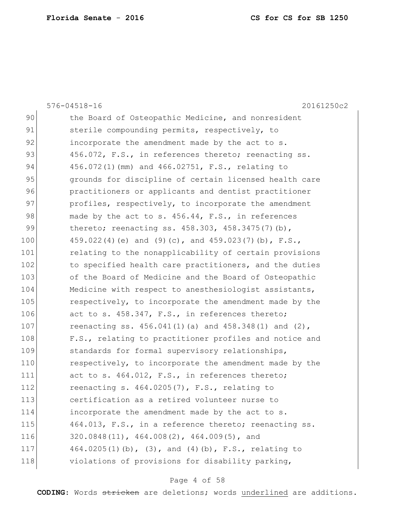| $576 - 04518 - 16$<br>20161250c2                             |
|--------------------------------------------------------------|
| the Board of Osteopathic Medicine, and nonresident           |
| sterile compounding permits, respectively, to                |
| incorporate the amendment made by the act to s.              |
| 456.072, F.S., in references thereto; reenacting ss.         |
| 456.072(1)(mm) and 466.02751, F.S., relating to              |
| grounds for discipline of certain licensed health care       |
| practitioners or applicants and dentist practitioner         |
| profiles, respectively, to incorporate the amendment         |
| made by the act to s. $456.44$ , F.S., in references         |
| thereto; reenacting ss. 458.303, 458.3475(7)(b),             |
| 459.022(4)(e) and (9)(c), and 459.023(7)(b), F.S.,           |
| relating to the nonapplicability of certain provisions       |
| to specified health care practitioners, and the duties       |
| of the Board of Medicine and the Board of Osteopathic        |
| Medicine with respect to anesthesiologist assistants,        |
| respectively, to incorporate the amendment made by the       |
| act to s. 458.347, F.S., in references thereto;              |
| reenacting ss. $456.041(1)$ (a) and $458.348(1)$ and $(2)$ , |
| F.S., relating to practitioner profiles and notice and       |
| standards for formal supervisory relationships,              |
| respectively, to incorporate the amendment made by the       |
| act to s. 464.012, F.S., in references thereto;              |
| reenacting s. 464.0205(7), F.S., relating to                 |
| certification as a retired volunteer nurse to                |
| incorporate the amendment made by the act to s.              |
| 464.013, F.S., in a reference thereto; reenacting ss.        |
| 320.0848(11), 464.008(2), 464.009(5), and                    |
| 464.0205(1)(b), (3), and (4)(b), F.S., relating to           |
| violations of provisions for disability parking,             |
|                                                              |

# Page 4 of 58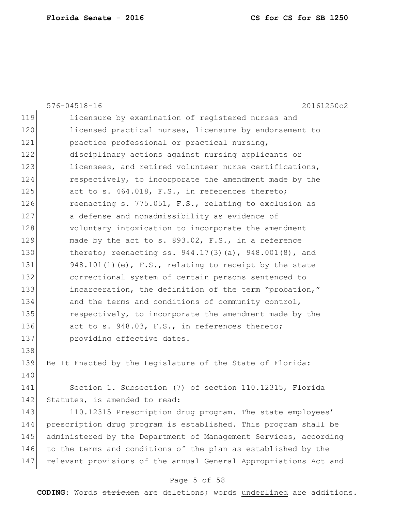|     | $576 - 04518 - 16$<br>20161250c2                                 |
|-----|------------------------------------------------------------------|
| 119 | licensure by examination of registered nurses and                |
| 120 | licensed practical nurses, licensure by endorsement to           |
| 121 | practice professional or practical nursing,                      |
| 122 | disciplinary actions against nursing applicants or               |
| 123 | licensees, and retired volunteer nurse certifications,           |
| 124 | respectively, to incorporate the amendment made by the           |
| 125 | act to s. 464.018, F.S., in references thereto;                  |
| 126 | reenacting s. 775.051, F.S., relating to exclusion as            |
| 127 | a defense and nonadmissibility as evidence of                    |
| 128 | voluntary intoxication to incorporate the amendment              |
| 129 | made by the act to s. 893.02, F.S., in a reference               |
| 130 | thereto; reenacting ss. $944.17(3)(a)$ , $948.001(8)$ , and      |
| 131 | $948.101(1)$ (e), F.S., relating to receipt by the state         |
| 132 | correctional system of certain persons sentenced to              |
| 133 | incarceration, the definition of the term "probation,"           |
| 134 | and the terms and conditions of community control,               |
| 135 | respectively, to incorporate the amendment made by the           |
| 136 | act to s. 948.03, F.S., in references thereto;                   |
| 137 | providing effective dates.                                       |
| 138 |                                                                  |
| 139 | Be It Enacted by the Legislature of the State of Florida:        |
| 140 |                                                                  |
| 141 | Section 1. Subsection (7) of section 110.12315, Florida          |
| 142 | Statutes, is amended to read:                                    |
| 143 | 110.12315 Prescription drug program. The state employees'        |
| 144 | prescription drug program is established. This program shall be  |
| 145 | administered by the Department of Management Services, according |
| 146 | to the terms and conditions of the plan as established by the    |
| 147 | relevant provisions of the annual General Appropriations Act and |
|     |                                                                  |

# Page 5 of 58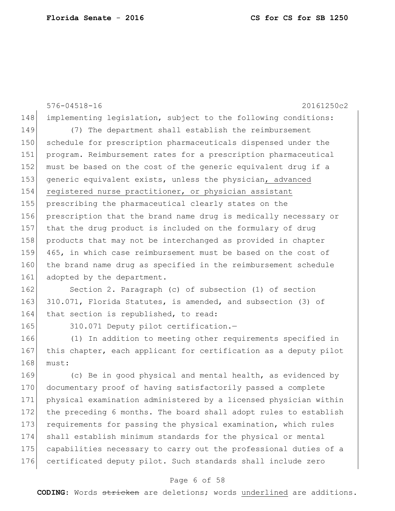576-04518-16 20161250c2 148 implementing legislation, subject to the following conditions: 149 (7) The department shall establish the reimbursement 150 schedule for prescription pharmaceuticals dispensed under the 151 program. Reimbursement rates for a prescription pharmaceutical 152 must be based on the cost of the generic equivalent drug if a 153 generic equivalent exists, unless the physician, advanced 154 registered nurse practitioner, or physician assistant 155 prescribing the pharmaceutical clearly states on the 156 prescription that the brand name drug is medically necessary or 157 that the drug product is included on the formulary of drug 158 products that may not be interchanged as provided in chapter 159 465, in which case reimbursement must be based on the cost of 160 the brand name drug as specified in the reimbursement schedule 161 adopted by the department.

162 Section 2. Paragraph (c) of subsection (1) of section 163 310.071, Florida Statutes, is amended, and subsection (3) of 164 that section is republished, to read:

165 310.071 Deputy pilot certification.-

166 (1) In addition to meeting other requirements specified in 167 this chapter, each applicant for certification as a deputy pilot 168 must:

169 (c) Be in good physical and mental health, as evidenced by 170 documentary proof of having satisfactorily passed a complete 171 physical examination administered by a licensed physician within 172 the preceding 6 months. The board shall adopt rules to establish 173 requirements for passing the physical examination, which rules 174 shall establish minimum standards for the physical or mental 175 capabilities necessary to carry out the professional duties of a 176 certificated deputy pilot. Such standards shall include zero

### Page 6 of 58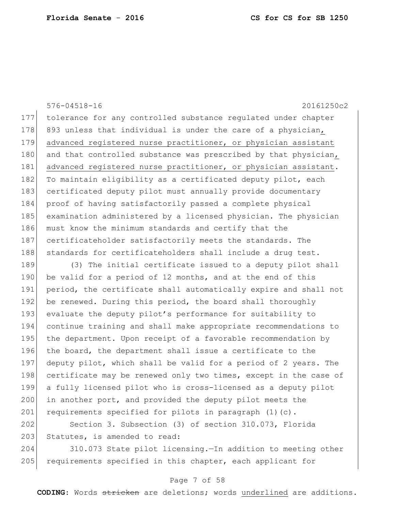576-04518-16 20161250c2 177 tolerance for any controlled substance regulated under chapter 178 893 unless that individual is under the care of a physician, 179 advanced registered nurse practitioner, or physician assistant 180 and that controlled substance was prescribed by that physician, 181 advanced registered nurse practitioner, or physician assistant. 182 To maintain eligibility as a certificated deputy pilot, each 183 certificated deputy pilot must annually provide documentary 184 proof of having satisfactorily passed a complete physical 185 examination administered by a licensed physician. The physician 186 must know the minimum standards and certify that the 187 certificateholder satisfactorily meets the standards. The 188 standards for certificateholders shall include a drug test.

189 (3) The initial certificate issued to a deputy pilot shall 190 be valid for a period of 12 months, and at the end of this 191 period, the certificate shall automatically expire and shall not 192 be renewed. During this period, the board shall thoroughly 193 evaluate the deputy pilot's performance for suitability to 194 continue training and shall make appropriate recommendations to 195 the department. Upon receipt of a favorable recommendation by 196 the board, the department shall issue a certificate to the 197 deputy pilot, which shall be valid for a period of 2 years. The 198 certificate may be renewed only two times, except in the case of 199 a fully licensed pilot who is cross-licensed as a deputy pilot 200 in another port, and provided the deputy pilot meets the 201 requirements specified for pilots in paragraph  $(1)(c)$ . 202 Section 3. Subsection (3) of section 310.073, Florida

203 Statutes, is amended to read:

204 310.073 State pilot licensing.—In addition to meeting other 205 requirements specified in this chapter, each applicant for

### Page 7 of 58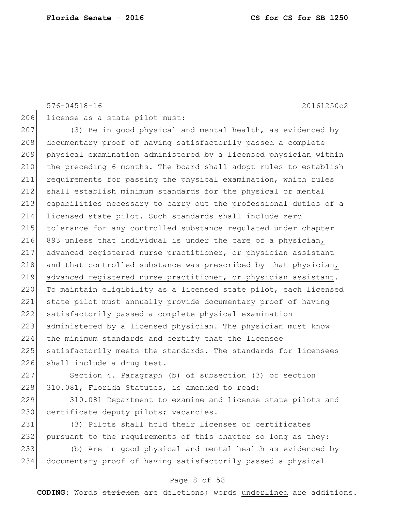576-04518-16 20161250c2 206 license as a state pilot must: 207 (3) Be in good physical and mental health, as evidenced by 208 documentary proof of having satisfactorily passed a complete 209 physical examination administered by a licensed physician within 210 the preceding 6 months. The board shall adopt rules to establish 211 requirements for passing the physical examination, which rules 212 shall establish minimum standards for the physical or mental 213 capabilities necessary to carry out the professional duties of a 214 licensed state pilot. Such standards shall include zero 215 tolerance for any controlled substance regulated under chapter 216 893 unless that individual is under the care of a physician, 217 advanced registered nurse practitioner, or physician assistant 218 and that controlled substance was prescribed by that physician, 219 advanced registered nurse practitioner, or physician assistant. 220 To maintain eligibility as a licensed state pilot, each licensed 221 state pilot must annually provide documentary proof of having 222 satisfactorily passed a complete physical examination 223 administered by a licensed physician. The physician must know 224 the minimum standards and certify that the licensee 225 satisfactorily meets the standards. The standards for licensees 226 shall include a drug test. 227 Section 4. Paragraph (b) of subsection (3) of section 228 310.081, Florida Statutes, is amended to read:

229 310.081 Department to examine and license state pilots and 230 certificate deputy pilots; vacancies.-

231 (3) Pilots shall hold their licenses or certificates 232 pursuant to the requirements of this chapter so long as they:

233 (b) Are in good physical and mental health as evidenced by 234 documentary proof of having satisfactorily passed a physical

### Page 8 of 58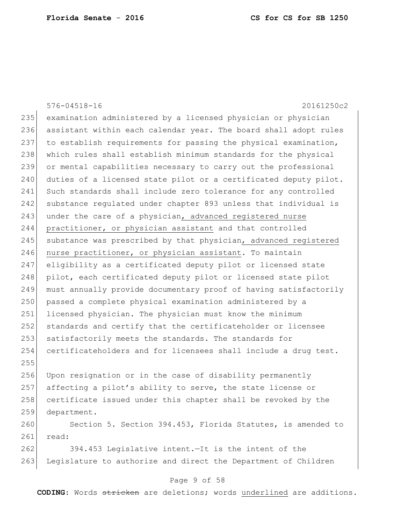|     | $576 - 04518 - 16$<br>20161250c2                                 |
|-----|------------------------------------------------------------------|
| 235 | examination administered by a licensed physician or physician    |
| 236 | assistant within each calendar year. The board shall adopt rules |
| 237 | to establish requirements for passing the physical examination,  |
| 238 | which rules shall establish minimum standards for the physical   |
| 239 | or mental capabilities necessary to carry out the professional   |
| 240 | duties of a licensed state pilot or a certificated deputy pilot. |
| 241 | Such standards shall include zero tolerance for any controlled   |
| 242 | substance regulated under chapter 893 unless that individual is  |
| 243 | under the care of a physician, advanced registered nurse         |
| 244 | practitioner, or physician assistant and that controlled         |
| 245 | substance was prescribed by that physician, advanced registered  |
| 246 | nurse practitioner, or physician assistant. To maintain          |
| 247 | eligibility as a certificated deputy pilot or licensed state     |
| 248 | pilot, each certificated deputy pilot or licensed state pilot    |
| 249 | must annually provide documentary proof of having satisfactorily |
| 250 | passed a complete physical examination administered by a         |
| 251 | licensed physician. The physician must know the minimum          |
| 252 | standards and certify that the certificateholder or licensee     |
| 253 | satisfactorily meets the standards. The standards for            |
| 254 | certificateholders and for licensees shall include a drug test.  |
| 255 |                                                                  |
| 256 | Upon resignation or in the case of disability permanently        |
| 257 | affecting a pilot's ability to serve, the state license or       |
| 258 | certificate issued under this chapter shall be revoked by the    |
| 259 | department.                                                      |

260 Section 5. Section 394.453, Florida Statutes, is amended to read:

262 394.453 Legislative intent.-It is the intent of the 263 Legislature to authorize and direct the Department of Children

### Page 9 of 58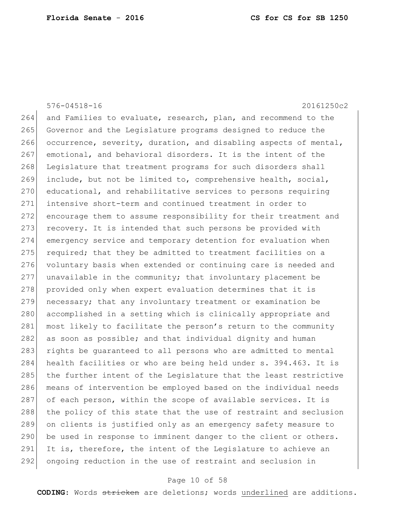576-04518-16 20161250c2 264 and Families to evaluate, research, plan, and recommend to the 265 Governor and the Legislature programs designed to reduce the 266 occurrence, severity, duration, and disabling aspects of mental, 267 emotional, and behavioral disorders. It is the intent of the 268 Legislature that treatment programs for such disorders shall 269 include, but not be limited to, comprehensive health, social, 270 educational, and rehabilitative services to persons requiring 271 intensive short-term and continued treatment in order to 272 encourage them to assume responsibility for their treatment and 273 recovery. It is intended that such persons be provided with 274 emergency service and temporary detention for evaluation when 275 required; that they be admitted to treatment facilities on a 276 voluntary basis when extended or continuing care is needed and  $277$  unavailable in the community; that involuntary placement be 278 provided only when expert evaluation determines that it is 279 necessary; that any involuntary treatment or examination be 280 accomplished in a setting which is clinically appropriate and 281 most likely to facilitate the person's return to the community 282 as soon as possible; and that individual dignity and human 283 rights be quaranteed to all persons who are admitted to mental 284 health facilities or who are being held under s. 394.463. It is 285 the further intent of the Legislature that the least restrictive 286 means of intervention be employed based on the individual needs 287 of each person, within the scope of available services. It is 288 | the policy of this state that the use of restraint and seclusion 289 on clients is justified only as an emergency safety measure to 290 be used in response to imminent danger to the client or others. 291 It is, therefore, the intent of the Legislature to achieve an 292 ongoing reduction in the use of restraint and seclusion in

### Page 10 of 58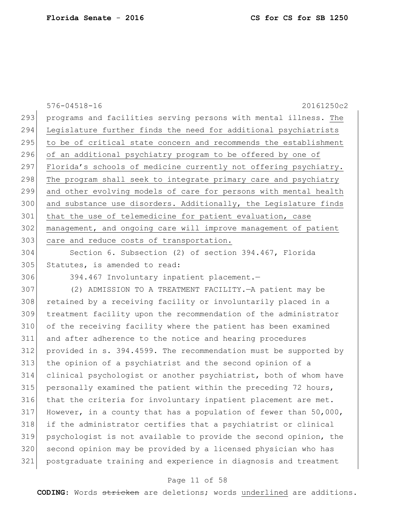576-04518-16 20161250c2 293 programs and facilities serving persons with mental illness. The 294 Legislature further finds the need for additional psychiatrists 295 to be of critical state concern and recommends the establishment 296 of an additional psychiatry program to be offered by one of 297 Florida's schools of medicine currently not offering psychiatry. 298 The program shall seek to integrate primary care and psychiatry 299 and other evolving models of care for persons with mental health 300 and substance use disorders. Additionally, the Legislature finds 301 that the use of telemedicine for patient evaluation, case 302 management, and ongoing care will improve management of patient 303 care and reduce costs of transportation.

304 Section 6. Subsection (2) of section 394.467, Florida 305 Statutes, is amended to read:

306 394.467 Involuntary inpatient placement.—

 (2) ADMISSION TO A TREATMENT FACILITY.—A patient may be 308 retained by a receiving facility or involuntarily placed in a treatment facility upon the recommendation of the administrator of the receiving facility where the patient has been examined and after adherence to the notice and hearing procedures provided in s. 394.4599. The recommendation must be supported by the opinion of a psychiatrist and the second opinion of a clinical psychologist or another psychiatrist, both of whom have personally examined the patient within the preceding 72 hours, that the criteria for involuntary inpatient placement are met. However, in a county that has a population of fewer than 50,000, if the administrator certifies that a psychiatrist or clinical psychologist is not available to provide the second opinion, the second opinion may be provided by a licensed physician who has postgraduate training and experience in diagnosis and treatment

### Page 11 of 58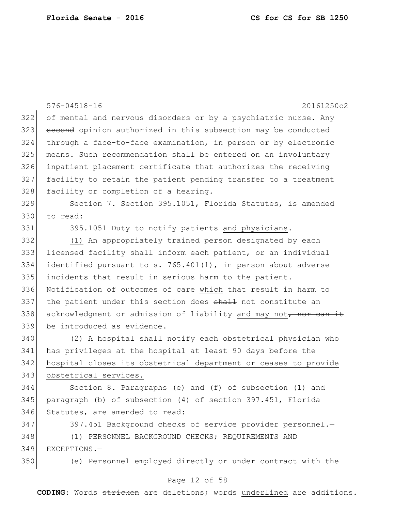|     | $576 - 04518 - 16$<br>20161250c2                                 |
|-----|------------------------------------------------------------------|
| 322 | of mental and nervous disorders or by a psychiatric nurse. Any   |
| 323 | second opinion authorized in this subsection may be conducted    |
| 324 | through a face-to-face examination, in person or by electronic   |
| 325 | means. Such recommendation shall be entered on an involuntary    |
| 326 | inpatient placement certificate that authorizes the receiving    |
| 327 | facility to retain the patient pending transfer to a treatment   |
| 328 | facility or completion of a hearing.                             |
| 329 | Section 7. Section 395.1051, Florida Statutes, is amended        |
| 330 | to read:                                                         |
| 331 | 395.1051 Duty to notify patients and physicians.-                |
| 332 | (1) An appropriately trained person designated by each           |
| 333 | licensed facility shall inform each patient, or an individual    |
| 334 | identified pursuant to s. 765.401(1), in person about adverse    |
| 335 | incidents that result in serious harm to the patient.            |
| 336 | Notification of outcomes of care which that result in harm to    |
| 337 | the patient under this section does shall not constitute an      |
| 338 | acknowledgment or admission of liability and may not, nor can it |
| 339 | be introduced as evidence.                                       |
| 340 | (2) A hospital shall notify each obstetrical physician who       |
| 341 | has privileges at the hospital at least 90 days before the       |
| 342 | hospital closes its obstetrical department or ceases to provide  |
| 343 | obstetrical services.                                            |
| 344 | Section 8. Paragraphs (e) and (f) of subsection (1) and          |
| 345 | paragraph (b) of subsection (4) of section 397.451, Florida      |
| 346 | Statutes, are amended to read:                                   |
| 347 | 397.451 Background checks of service provider personnel.-        |
| 348 | (1) PERSONNEL BACKGROUND CHECKS; REQUIREMENTS AND                |
| 349 | EXCEPTIONS.-                                                     |
| 350 | (e) Personnel employed directly or under contract with the       |
|     | Page 12 of 58                                                    |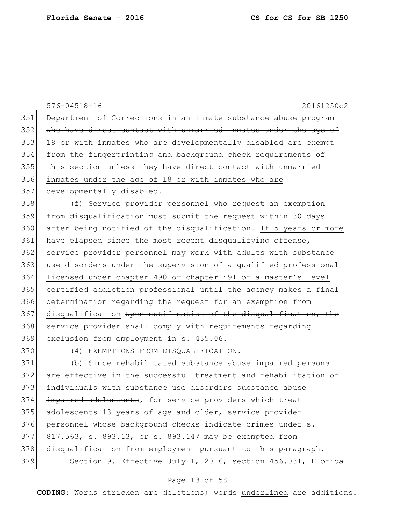|     | $576 - 04518 - 16$<br>20161250c2                                 |
|-----|------------------------------------------------------------------|
| 351 | Department of Corrections in an inmate substance abuse program   |
| 352 | who have direct contact with unmarried inmates under the age of  |
| 353 | 18 or with inmates who are developmentally disabled are exempt   |
| 354 | from the fingerprinting and background check requirements of     |
| 355 | this section unless they have direct contact with unmarried      |
| 356 | inmates under the age of 18 or with inmates who are              |
| 357 | developmentally disabled.                                        |
| 358 | (f) Service provider personnel who request an exemption          |
| 359 | from disqualification must submit the request within 30 days     |
| 360 | after being notified of the disqualification. If 5 years or more |
| 361 | have elapsed since the most recent disqualifying offense,        |
| 362 | service provider personnel may work with adults with substance   |
| 363 | use disorders under the supervision of a qualified professional  |
| 364 | licensed under chapter 490 or chapter 491 or a master's level    |
| 365 | certified addiction professional until the agency makes a final  |
| 366 | determination regarding the request for an exemption from        |
| 367 | disqualification Upon notification of the disqualification, the  |
| 368 | service provider shall comply with requirements regarding        |
| 369 | exclusion from employment in s. 435.06.                          |
| 370 | (4) EXEMPTIONS FROM DISQUALIFICATION.-                           |
|     |                                                                  |

 (b) Since rehabilitated substance abuse impaired persons are effective in the successful treatment and rehabilitation of 373 individuals with substance use disorders substance abuse 374 impaired adolescents, for service providers which treat 375 adolescents 13 years of age and older, service provider 376 personnel whose background checks indicate crimes under s. 377 817.563, s. 893.13, or s. 893.147 may be exempted from disqualification from employment pursuant to this paragraph. 379 Section 9. Effective July 1, 2016, section 456.031, Florida

### Page 13 of 58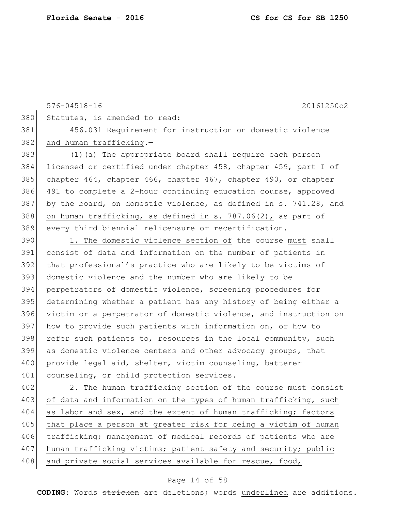576-04518-16 20161250c2 380 Statutes, is amended to read: 381 456.031 Requirement for instruction on domestic violence 382 and human trafficking.-383 (1)(a) The appropriate board shall require each person 384 licensed or certified under chapter 458, chapter 459, part I of 385 chapter 464, chapter 466, chapter 467, chapter 490, or chapter 386 491 to complete a 2-hour continuing education course, approved 387 by the board, on domestic violence, as defined in s. 741.28, and 388 on human trafficking, as defined in s.  $787.06(2)$ , as part of 389 every third biennial relicensure or recertification. 390 1. The domestic violence section of the course must shall 391 consist of data and information on the number of patients in 392 that professional's practice who are likely to be victims of 393 domestic violence and the number who are likely to be 394 perpetrators of domestic violence, screening procedures for 395 determining whether a patient has any history of being either a 396 victim or a perpetrator of domestic violence, and instruction on  $397$  how to provide such patients with information on, or how to 398 refer such patients to, resources in the local community, such 399 as domestic violence centers and other advocacy groups, that 400 provide legal aid, shelter, victim counseling, batterer 401 counseling, or child protection services. 402 2. The human trafficking section of the course must consist 403 of data and information on the types of human trafficking, such 404 as labor and sex, and the extent of human trafficking; factors 405 that place a person at greater risk for being a victim of human

406 trafficking; management of medical records of patients who are 407 human trafficking victims; patient safety and security; public

408 and private social services available for rescue, food,

### Page 14 of 58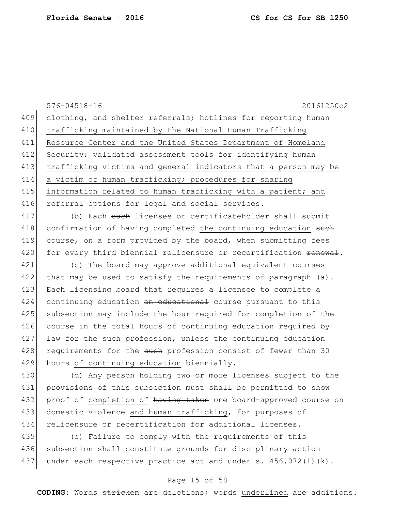576-04518-16 20161250c2 409 clothing, and shelter referrals; hotlines for reporting human 410 trafficking maintained by the National Human Trafficking 411 Resource Center and the United States Department of Homeland 412 Security; validated assessment tools for identifying human 413 trafficking victims and general indicators that a person may be 414 a victim of human trafficking; procedures for sharing 415 information related to human trafficking with a patient; and 416 referral options for legal and social services.

417 (b) Each such licensee or certificateholder shall submit 418 confirmation of having completed the continuing education such 419 course, on a form provided by the board, when submitting fees 420 for every third biennial relicensure or recertification renewal.

421 (c) The board may approve additional equivalent courses 422 that may be used to satisfy the requirements of paragraph (a). 423 Each licensing board that requires a licensee to complete a 424 continuing education an educational course pursuant to this 425 subsection may include the hour required for completion of the 426 course in the total hours of continuing education required by 427 law for the such profession, unless the continuing education 428 requirements for the such profession consist of fewer than 30 429 hours of continuing education biennially.

430 (d) Any person holding two or more licenses subject to the 431 provisions of this subsection must shall be permitted to show 432 proof of completion of having taken one board-approved course on 433 domestic violence and human trafficking, for purposes of 434 relicensure or recertification for additional licenses.

435 (e) Failure to comply with the requirements of this 436 subsection shall constitute grounds for disciplinary action 437 under each respective practice act and under  $s. 456.072(1)(k)$ .

### Page 15 of 58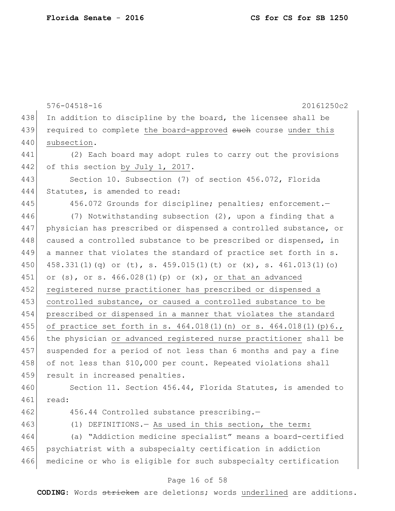|     | $576 - 04518 - 16$<br>20161250c2                                 |
|-----|------------------------------------------------------------------|
| 438 | In addition to discipline by the board, the licensee shall be    |
| 439 | required to complete the board-approved such course under this   |
| 440 | subsection.                                                      |
| 441 | (2) Each board may adopt rules to carry out the provisions       |
| 442 | of this section by July 1, 2017.                                 |
| 443 | Section 10. Subsection (7) of section 456.072, Florida           |
| 444 | Statutes, is amended to read:                                    |
| 445 | 456.072 Grounds for discipline; penalties; enforcement.-         |
| 446 | (7) Notwithstanding subsection (2), upon a finding that a        |
| 447 | physician has prescribed or dispensed a controlled substance, or |
| 448 | caused a controlled substance to be prescribed or dispensed, in  |
| 449 | a manner that violates the standard of practice set forth in s.  |
| 450 | 458.331(1)(q) or (t), s. 459.015(1)(t) or (x), s. 461.013(1)(o)  |
| 451 | or (s), or s. $466.028(1)$ (p) or $(x)$ , or that an advanced    |
| 452 | registered nurse practitioner has prescribed or dispensed a      |
| 453 | controlled substance, or caused a controlled substance to be     |
| 454 | prescribed or dispensed in a manner that violates the standard   |
| 455 | of practice set forth in s. 464.018(1)(n) or s. 464.018(1)(p)6., |
| 456 | the physician or advanced registered nurse practitioner shall be |
| 457 | suspended for a period of not less than 6 months and pay a fine  |
| 458 | of not less than \$10,000 per count. Repeated violations shall   |
| 459 | result in increased penalties.                                   |
| 460 | Section 11. Section 456.44, Florida Statutes, is amended to      |
| 461 | read:                                                            |
| 462 | 456.44 Controlled substance prescribing.-                        |
| 463 | (1) DEFINITIONS. - As used in this section, the term:            |
| 464 | (a) "Addiction medicine specialist" means a board-certified      |
|     |                                                                  |

465 psychiatrist with a subspecialty certification in addiction 466 medicine or who is eligible for such subspecialty certification

### Page 16 of 58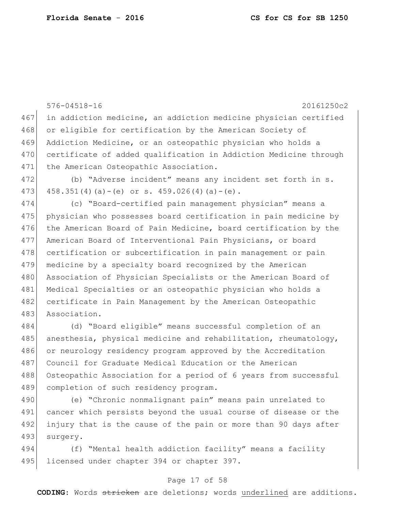|     | $576 - 04518 - 16$<br>20161250c2                                 |
|-----|------------------------------------------------------------------|
| 467 | in addiction medicine, an addiction medicine physician certified |
| 468 | or eligible for certification by the American Society of         |
| 469 | Addiction Medicine, or an osteopathic physician who holds a      |
| 470 | certificate of added qualification in Addiction Medicine through |
| 471 | the American Osteopathic Association.                            |
| 472 | (b) "Adverse incident" means any incident set forth in s.        |
| 473 | $458.351(4)(a) - (e)$ or s. $459.026(4)(a) - (e)$ .              |
| 474 | (c) "Board-certified pain management physician" means a          |
| 475 | physician who possesses board certification in pain medicine by  |
| 476 | the American Board of Pain Medicine, board certification by the  |
| 477 | American Board of Interventional Pain Physicians, or board       |
| 478 | certification or subcertification in pain management or pain     |
| 479 | medicine by a specialty board recognized by the American         |
| 480 | Association of Physician Specialists or the American Board of    |
| 481 | Medical Specialties or an osteopathic physician who holds a      |
| 482 | certificate in Pain Management by the American Osteopathic       |
| 483 | Association.                                                     |
| 484 | (d) "Board eligible" means successful completion of an           |
| 485 | anesthesia, physical medicine and rehabilitation, rheumatology,  |
| 486 | or neurology residency program approved by the Accreditation     |
| 487 | Council for Graduate Medical Education or the American           |
| 488 | Osteopathic Association for a period of 6 years from successful  |
| 489 | completion of such residency program.                            |
|     |                                                                  |

490 (e) "Chronic nonmalignant pain" means pain unrelated to 491 cancer which persists beyond the usual course of disease or the 492 injury that is the cause of the pain or more than 90 days after 493 surgery.

494 (f) "Mental health addiction facility" means a facility 495 licensed under chapter 394 or chapter 397.

### Page 17 of 58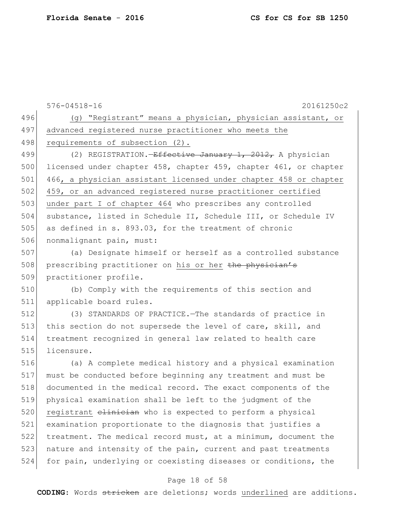|     | $576 - 04518 - 16$<br>20161250c2                                 |
|-----|------------------------------------------------------------------|
| 496 | (g) "Registrant" means a physician, physician assistant, or      |
| 497 | advanced registered nurse practitioner who meets the             |
| 498 | requirements of subsection (2).                                  |
| 499 | (2) REGISTRATION. Effective January 1, 2012, A physician         |
| 500 | licensed under chapter 458, chapter 459, chapter 461, or chapter |
| 501 | 466, a physician assistant licensed under chapter 458 or chapter |
| 502 | 459, or an advanced registered nurse practitioner certified      |
| 503 |                                                                  |
|     | under part I of chapter 464 who prescribes any controlled        |
| 504 | substance, listed in Schedule II, Schedule III, or Schedule IV   |
| 505 | as defined in s. 893.03, for the treatment of chronic            |
| 506 | nonmalignant pain, must:                                         |
| 507 | (a) Designate himself or herself as a controlled substance       |
| 508 | prescribing practitioner on his or her the physician's           |
| 509 | practitioner profile.                                            |
| 510 | (b) Comply with the requirements of this section and             |
| 511 | applicable board rules.                                          |
| 512 | (3) STANDARDS OF PRACTICE. - The standards of practice in        |
| 513 | this section do not supersede the level of care, skill, and      |
| 514 | treatment recognized in general law related to health care       |
| 515 | licensure.                                                       |
| 516 | (a) A complete medical history and a physical examination        |
| 517 | must be conducted before beginning any treatment and must be     |
| 518 | documented in the medical record. The exact components of the    |
| 519 | physical examination shall be left to the judgment of the        |
| 520 | registrant clinician who is expected to perform a physical       |
| 521 | examination proportionate to the diagnosis that justifies a      |
| 522 | treatment. The medical record must, at a minimum, document the   |
| 523 | nature and intensity of the pain, current and past treatments    |
| 524 | for pain, underlying or coexisting diseases or conditions, the   |

# Page 18 of 58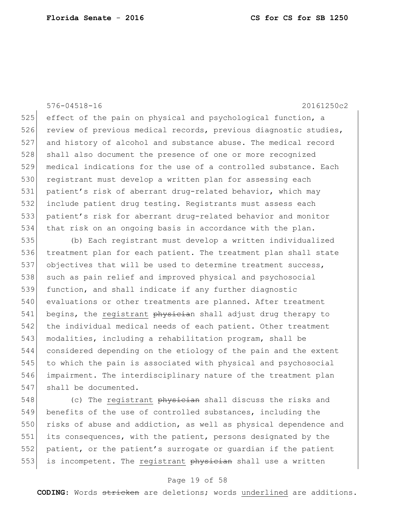576-04518-16 20161250c2

525 effect of the pain on physical and psychological function, a 526 review of previous medical records, previous diagnostic studies, 527 and history of alcohol and substance abuse. The medical record 528 shall also document the presence of one or more recognized 529 medical indications for the use of a controlled substance. Each 530 registrant must develop a written plan for assessing each 531 patient's risk of aberrant drug-related behavior, which may 532 include patient drug testing. Registrants must assess each 533 patient's risk for aberrant drug-related behavior and monitor 534 that risk on an ongoing basis in accordance with the plan.

 (b) Each registrant must develop a written individualized treatment plan for each patient. The treatment plan shall state objectives that will be used to determine treatment success, 538 such as pain relief and improved physical and psychosocial function, and shall indicate if any further diagnostic evaluations or other treatments are planned. After treatment 541 begins, the registrant physician shall adjust drug therapy to 542 the individual medical needs of each patient. Other treatment modalities, including a rehabilitation program, shall be considered depending on the etiology of the pain and the extent to which the pain is associated with physical and psychosocial impairment. The interdisciplinary nature of the treatment plan 547 shall be documented.

 $548$  (c) The registrant  $\frac{1}{2}$  physician shall discuss the risks and 549 benefits of the use of controlled substances, including the 550 risks of abuse and addiction, as well as physical dependence and 551 its consequences, with the patient, persons designated by the 552 patient, or the patient's surrogate or guardian if the patient 553 is incompetent. The registrant physician shall use a written

### Page 19 of 58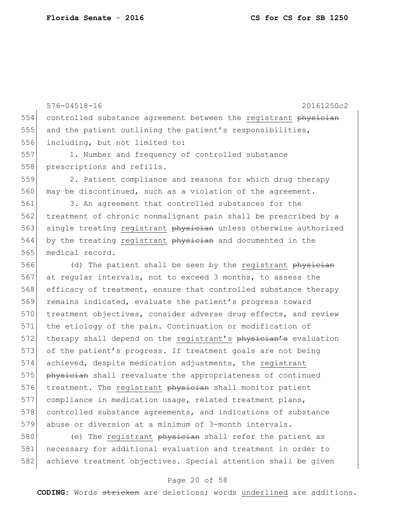576-04518-16 20161250c2 554 controlled substance agreement between the registrant physician 555 and the patient outlining the patient's responsibilities, 556 including, but not limited to: 557 1. Number and frequency of controlled substance 558 prescriptions and refills. 559 2. Patient compliance and reasons for which drug therapy 560 may be discontinued, such as a violation of the agreement. 561 3. An agreement that controlled substances for the 562 treatment of chronic nonmalignant pain shall be prescribed by a 563 single treating registrant physician unless otherwise authorized 564 by the treating registrant physician and documented in the 565 medical record. 566 (d) The patient shall be seen by the registrant physician 567 at regular intervals, not to exceed 3 months, to assess the 568 efficacy of treatment, ensure that controlled substance therapy 569 remains indicated, evaluate the patient's progress toward 570 treatment objectives, consider adverse drug effects, and review 571 the etiology of the pain. Continuation or modification of 572 therapy shall depend on the registrant's physician's evaluation 573 of the patient's progress. If treatment goals are not being 574 achieved, despite medication adjustments, the registrant 575 physician shall reevaluate the appropriateness of continued 576 treatment. The registrant physician shall monitor patient 577 compliance in medication usage, related treatment plans, 578 controlled substance agreements, and indications of substance 579 abuse or diversion at a minimum of 3-month intervals.

580 (e) The registrant physician shall refer the patient as 581 | necessary for additional evaluation and treatment in order to 582 achieve treatment objectives. Special attention shall be given

### Page 20 of 58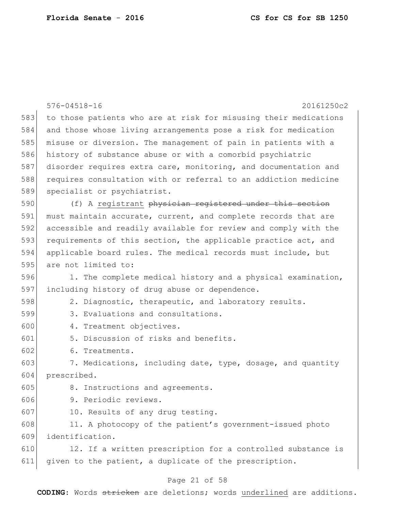|     | $576 - 04518 - 16$<br>20161250c2                                 |
|-----|------------------------------------------------------------------|
| 583 | to those patients who are at risk for misusing their medications |
| 584 | and those whose living arrangements pose a risk for medication   |
| 585 | misuse or diversion. The management of pain in patients with a   |
| 586 | history of substance abuse or with a comorbid psychiatric        |
| 587 | disorder requires extra care, monitoring, and documentation and  |
| 588 | requires consultation with or referral to an addiction medicine  |
| 589 | specialist or psychiatrist.                                      |
| 590 | (f) A registrant physician registered under this section         |
| 591 | must maintain accurate, current, and complete records that are   |
| 592 | accessible and readily available for review and comply with the  |
| 593 | requirements of this section, the applicable practice act, and   |
| 594 | applicable board rules. The medical records must include, but    |
| 595 | are not limited to:                                              |
| 596 | 1. The complete medical history and a physical examination,      |
| 597 | including history of drug abuse or dependence.                   |
| 598 | 2. Diagnostic, therapeutic, and laboratory results.              |
| 599 | 3. Evaluations and consultations.                                |
| 600 | 4. Treatment objectives.                                         |
| 601 | 5. Discussion of risks and benefits.                             |
| 602 | 6. Treatments.                                                   |
| 603 | 7. Medications, including date, type, dosage, and quantity       |
| 604 | prescribed.                                                      |
| 605 | 8. Instructions and agreements.                                  |
| 606 | 9. Periodic reviews.                                             |
| 607 | 10. Results of any drug testing.                                 |
| 608 | 11. A photocopy of the patient's government-issued photo         |
| 609 | identification.                                                  |
| 610 | 12. If a written prescription for a controlled substance is      |
| 611 | given to the patient, a duplicate of the prescription.           |

# Page 21 of 58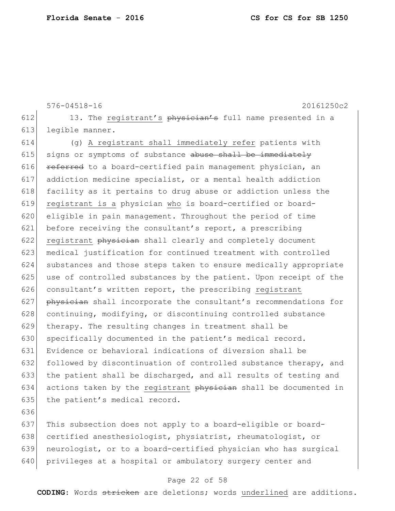576-04518-16 20161250c2 612 13. The registrant's  $phy$  sician's full name presented in a 613 legible manner. 614 (g) A registrant shall immediately refer patients with 615  $\vert$  signs or symptoms of substance abuse shall be immediately 616 **referred** to a board-certified pain management physician, an 617 addiction medicine specialist, or a mental health addiction 618 facility as it pertains to drug abuse or addiction unless the 619 registrant is a physician who is board-certified or board-620 eligible in pain management. Throughout the period of time 621 before receiving the consultant's report, a prescribing 622 registrant physician shall clearly and completely document 623 medical justification for continued treatment with controlled 624 substances and those steps taken to ensure medically appropriate 625 use of controlled substances by the patient. Upon receipt of the 626 consultant's written report, the prescribing registrant  $627$  physician shall incorporate the consultant's recommendations for 628 continuing, modifying, or discontinuing controlled substance 629 therapy. The resulting changes in treatment shall be 630 specifically documented in the patient's medical record. 631 Evidence or behavioral indications of diversion shall be 632 followed by discontinuation of controlled substance therapy, and 633 the patient shall be discharged, and all results of testing and 634 actions taken by the registrant  $phy$  sician shall be documented in 635 the patient's medical record. 636

 This subsection does not apply to a board-eligible or board- certified anesthesiologist, physiatrist, rheumatologist, or neurologist, or to a board-certified physician who has surgical privileges at a hospital or ambulatory surgery center and

### Page 22 of 58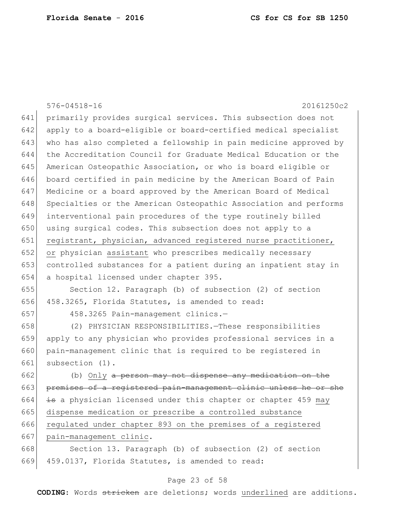576-04518-16 20161250c2 primarily provides surgical services. This subsection does not apply to a board-eligible or board-certified medical specialist who has also completed a fellowship in pain medicine approved by the Accreditation Council for Graduate Medical Education or the 645 American Osteopathic Association, or who is board eligible or board certified in pain medicine by the American Board of Pain Medicine or a board approved by the American Board of Medical 648 Specialties or the American Osteopathic Association and performs interventional pain procedures of the type routinely billed 650 using surgical codes. This subsection does not apply to a 651 registrant, physician, advanced registered nurse practitioner, 652 or physician assistant who prescribes medically necessary controlled substances for a patient during an inpatient stay in a hospital licensed under chapter 395. Section 12. Paragraph (b) of subsection (2) of section 458.3265, Florida Statutes, is amended to read: 458.3265 Pain-management clinics.— (2) PHYSICIAN RESPONSIBILITIES.—These responsibilities apply to any physician who provides professional services in a 660 pain-management clinic that is required to be registered in subsection (1). (b) Only a person may not dispense any medication on the premises of a registered pain-management clinic unless he or she  $\pm$  a physician licensed under this chapter or chapter 459 may 665 dispense medication or prescribe a controlled substance regulated under chapter 893 on the premises of a registered 667 pain-management clinic.

668 Section 13. Paragraph (b) of subsection (2) of section 669 459.0137, Florida Statutes, is amended to read:

### Page 23 of 58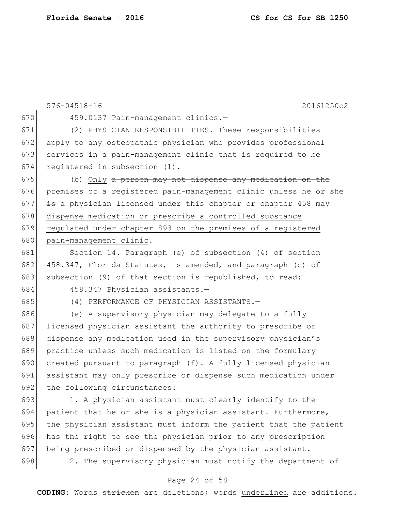|     | $576 - 04518 - 16$<br>20161250c2                                 |
|-----|------------------------------------------------------------------|
| 670 | 459.0137 Pain-management clinics.-                               |
| 671 | (2) PHYSICIAN RESPONSIBILITIES. - These responsibilities         |
| 672 | apply to any osteopathic physician who provides professional     |
| 673 | services in a pain-management clinic that is required to be      |
| 674 | registered in subsection (1).                                    |
| 675 | (b) Only a person may not dispense any medication on the         |
| 676 | premises of a registered pain-management clinic unless he or she |
| 677 | is a physician licensed under this chapter or chapter 458 may    |
| 678 | dispense medication or prescribe a controlled substance          |
| 679 | regulated under chapter 893 on the premises of a registered      |
| 680 | pain-management clinic.                                          |
| 681 | Section 14. Paragraph (e) of subsection (4) of section           |
| 682 | 458.347, Florida Statutes, is amended, and paragraph (c) of      |
| 683 | subsection (9) of that section is republished, to read:          |
| 684 | 458.347 Physician assistants.-                                   |
| 685 | (4) PERFORMANCE OF PHYSICIAN ASSISTANTS.-                        |
| 686 | (e) A supervisory physician may delegate to a fully              |
| 687 | licensed physician assistant the authority to prescribe or       |
| 688 | dispense any medication used in the supervisory physician's      |
| 689 | practice unless such medication is listed on the formulary       |
| 690 | created pursuant to paragraph (f). A fully licensed physician    |
| 691 | assistant may only prescribe or dispense such medication under   |
| 692 | the following circumstances:                                     |
| 693 | 1. A physician assistant must clearly identify to the            |
| 694 | patient that he or she is a physician assistant. Furthermore,    |
| 695 | the physician assistant must inform the patient that the patient |
| 696 | has the right to see the physician prior to any prescription     |
| 697 | being prescribed or dispensed by the physician assistant.        |
| 698 | 2. The supervisory physician must notify the department of       |
|     |                                                                  |

### Page 24 of 58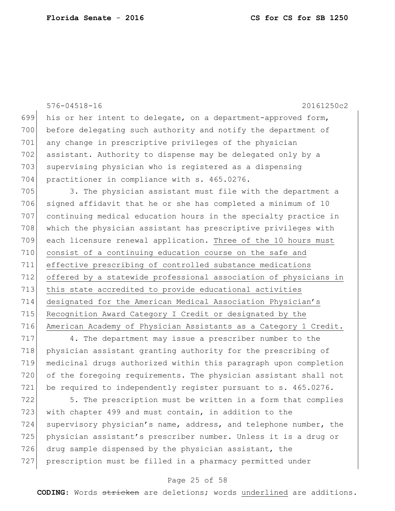```
576-04518-16 20161250c2
699 his or her intent to delegate, on a department-approved form, 
700 before delegating such authority and notify the department of 
701 any change in prescriptive privileges of the physician
702 assistant. Authority to dispense may be delegated only by a 
703 supervising physician who is registered as a dispensing
704 practitioner in compliance with s. 465.0276.
705 3. The physician assistant must file with the department a
706 signed affidavit that he or she has completed a minimum of 10
707 continuing medical education hours in the specialty practice in 
708 which the physician assistant has prescriptive privileges with
709 each licensure renewal application. Three of the 10 hours must 
710 consist of a continuing education course on the safe and
711 effective prescribing of controlled substance medications 
712 offered by a statewide professional association of physicians in 
713 this state accredited to provide educational activities 
714 designated for the American Medical Association Physician's 
715 Recognition Award Category I Credit or designated by the 
716 American Academy of Physician Assistants as a Category 1 Credit.
717 4. The department may issue a prescriber number to the
```
718 physician assistant granting authority for the prescribing of 719 medicinal drugs authorized within this paragraph upon completion 720 of the foregoing requirements. The physician assistant shall not 721 be required to independently register pursuant to s. 465.0276.

 5. The prescription must be written in a form that complies with chapter 499 and must contain, in addition to the supervisory physician's name, address, and telephone number, the 725 physician assistant's prescriber number. Unless it is a drug or 726 drug sample dispensed by the physician assistant, the prescription must be filled in a pharmacy permitted under

### Page 25 of 58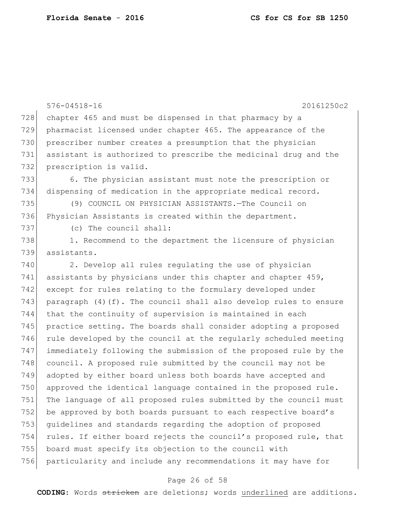|     | $576 - 04518 - 16$<br>20161250c2                                  |
|-----|-------------------------------------------------------------------|
| 728 | chapter 465 and must be dispensed in that pharmacy by a           |
| 729 | pharmacist licensed under chapter 465. The appearance of the      |
| 730 | prescriber number creates a presumption that the physician        |
| 731 | assistant is authorized to prescribe the medicinal drug and the   |
| 732 | prescription is valid.                                            |
| 733 | 6. The physician assistant must note the prescription or          |
| 734 | dispensing of medication in the appropriate medical record.       |
| 735 | (9) COUNCIL ON PHYSICIAN ASSISTANTS. The Council on               |
| 736 | Physician Assistants is created within the department.            |
| 737 | (c) The council shall:                                            |
| 738 | 1. Recommend to the department the licensure of physician         |
| 739 | assistants.                                                       |
| 740 | 2. Develop all rules regulating the use of physician              |
| 741 | assistants by physicians under this chapter and chapter 459,      |
| 742 | except for rules relating to the formulary developed under        |
| 743 | paragraph (4) (f). The council shall also develop rules to ensure |
| 744 | that the continuity of supervision is maintained in each          |
| 745 | practice setting. The boards shall consider adopting a proposed   |
| 746 | rule developed by the council at the regularly scheduled meeting  |
| 747 | immediately following the submission of the proposed rule by the  |
| 748 | council. A proposed rule submitted by the council may not be      |
| 749 | adopted by either board unless both boards have accepted and      |
| 750 | approved the identical language contained in the proposed rule.   |
| 751 | The language of all proposed rules submitted by the council must  |
| 752 | be approved by both boards pursuant to each respective board's    |
| 753 | quidelines and standards regarding the adoption of proposed       |
| 754 | rules. If either board rejects the council's proposed rule, that  |
| 755 | board must specify its objection to the council with              |
| 756 | particularity and include any recommendations it may have for     |
|     |                                                                   |

# Page 26 of 58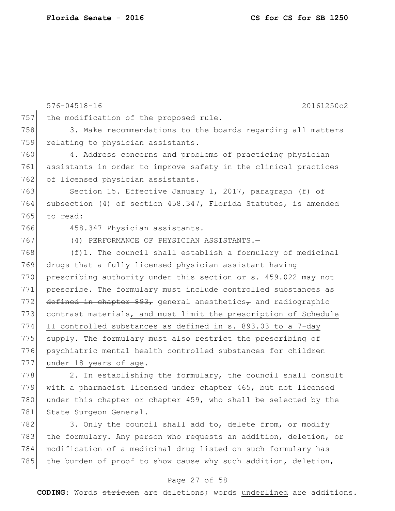576-04518-16 20161250c2 757 the modification of the proposed rule. 758 3. Make recommendations to the boards regarding all matters 759 relating to physician assistants. 760 4. Address concerns and problems of practicing physician 761 assistants in order to improve safety in the clinical practices 762 of licensed physician assistants. 763 Section 15. Effective January 1, 2017, paragraph (f) of 764 subsection (4) of section 458.347, Florida Statutes, is amended 765 to read: 766 458.347 Physician assistants.-767 (4) PERFORMANCE OF PHYSICIAN ASSISTANTS.—  $768$  (f)1. The council shall establish a formulary of medicinal 769 drugs that a fully licensed physician assistant having 770 prescribing authority under this section or s. 459.022 may not 771 prescribe. The formulary must include controlled substances as 772 defined in chapter  $893$ , general anesthetics, and radiographic 773 contrast materials, and must limit the prescription of Schedule 774 II controlled substances as defined in s. 893.03 to a 7-day 775 supply. The formulary must also restrict the prescribing of 776 psychiatric mental health controlled substances for children 777 under 18 years of age.

778 2. In establishing the formulary, the council shall consult 779 with a pharmacist licensed under chapter 465, but not licensed 780 under this chapter or chapter 459, who shall be selected by the 781 State Surgeon General.

782 3. Only the council shall add to, delete from, or modify 783 the formulary. Any person who requests an addition, deletion, or 784 modification of a medicinal drug listed on such formulary has 785 | the burden of proof to show cause why such addition, deletion,

### Page 27 of 58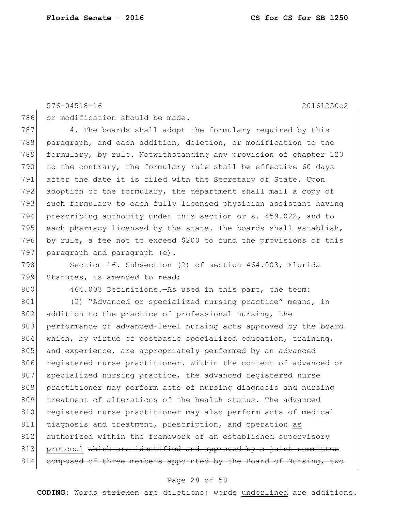576-04518-16 20161250c2

786 or modification should be made.

787 4. The boards shall adopt the formulary required by this 788 paragraph, and each addition, deletion, or modification to the 789 formulary, by rule. Notwithstanding any provision of chapter 120  $790$  to the contrary, the formulary rule shall be effective 60 days 791 after the date it is filed with the Secretary of State. Upon 792 adoption of the formulary, the department shall mail a copy of 793 such formulary to each fully licensed physician assistant having 794 prescribing authority under this section or s. 459.022, and to 795 each pharmacy licensed by the state. The boards shall establish, 796 by rule, a fee not to exceed \$200 to fund the provisions of this 797 paragraph and paragraph (e).

798 Section 16. Subsection (2) of section 464.003, Florida 799 Statutes, is amended to read:

800 464.003 Definitions.—As used in this part, the term:

801 (2) "Advanced or specialized nursing practice" means, in 802 addition to the practice of professional nursing, the 803 performance of advanced-level nursing acts approved by the board 804 which, by virtue of postbasic specialized education, training, 805 and experience, are appropriately performed by an advanced 806 registered nurse practitioner. Within the context of advanced or 807 specialized nursing practice, the advanced registered nurse 808 practitioner may perform acts of nursing diagnosis and nursing 809 treatment of alterations of the health status. The advanced 810 registered nurse practitioner may also perform acts of medical 811 diagnosis and treatment, prescription, and operation as 812 authorized within the framework of an established supervisory 813 protocol which are identified and approved by a joint committee 814 composed of three members appointed by the Board of Nursing, two

#### Page 28 of 58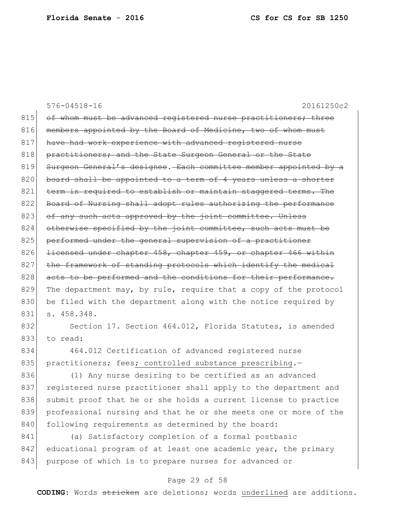576-04518-16 20161250c2 815 of whom must be advanced registered nurse practitioners; three 816 members appointed by the Board of Medicine, two of whom must 817 have had work experience with advanced registered nurse 818 practitioners; and the State Surgeon General or the State 819 Surgeon General's designee. Each committee member appointed by a 820 board shall be appointed to a term of 4 years unless a shorter 821 term is required to establish or maintain staggered terms. The 822 Board of Nursing shall adopt rules authorizing the performance 823 of any such acts approved by the joint committee. Unless 824 otherwise specified by the joint committee, such acts must be 825 performed under the general supervision of a practitioner 826 licensed under chapter 458, chapter 459, or chapter 466 within 827 the framework of standing protocols which identify the medical 828 acts to be performed and the conditions for their performance. 829 The department may, by rule, require that a copy of the protocol 830 be filed with the department along with the notice required by 831 s. 458.348. 832 Section 17. Section 464.012, Florida Statutes, is amended 833 to read:

834 464.012 Certification of advanced registered nurse 835 practitioners; fees; controlled substance prescribing.

836 (1) Any nurse desiring to be certified as an advanced 837 registered nurse practitioner shall apply to the department and 838 submit proof that he or she holds a current license to practice 839 professional nursing and that he or she meets one or more of the 840 following requirements as determined by the board:

841 (a) Satisfactory completion of a formal postbasic 842 educational program of at least one academic year, the primary 843 purpose of which is to prepare nurses for advanced or

### Page 29 of 58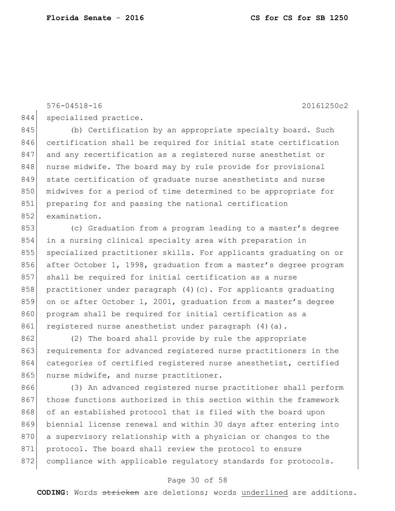576-04518-16 20161250c2

844 specialized practice.

845 (b) Certification by an appropriate specialty board. Such 846 certification shall be required for initial state certification 847 and any recertification as a registered nurse anesthetist or 848 nurse midwife. The board may by rule provide for provisional 849 state certification of graduate nurse anesthetists and nurse 850 midwives for a period of time determined to be appropriate for 851 preparing for and passing the national certification 852 examination.

853 (c) Graduation from a program leading to a master's degree 854 in a nursing clinical specialty area with preparation in 855 specialized practitioner skills. For applicants graduating on or 856 after October 1, 1998, graduation from a master's degree program 857 shall be required for initial certification as a nurse 858 practitioner under paragraph  $(4)$  (c). For applicants graduating 859 on or after October 1, 2001, graduation from a master's degree 860 program shall be required for initial certification as a 861 registered nurse anesthetist under paragraph (4) (a).

862 (2) The board shall provide by rule the appropriate 863 requirements for advanced registered nurse practitioners in the 864 categories of certified registered nurse anesthetist, certified 865 | nurse midwife, and nurse practitioner.

866 (3) An advanced registered nurse practitioner shall perform 867 those functions authorized in this section within the framework 868 of an established protocol that is filed with the board upon 869 biennial license renewal and within 30 days after entering into 870 a supervisory relationship with a physician or changes to the 871 protocol. The board shall review the protocol to ensure 872 compliance with applicable regulatory standards for protocols.

### Page 30 of 58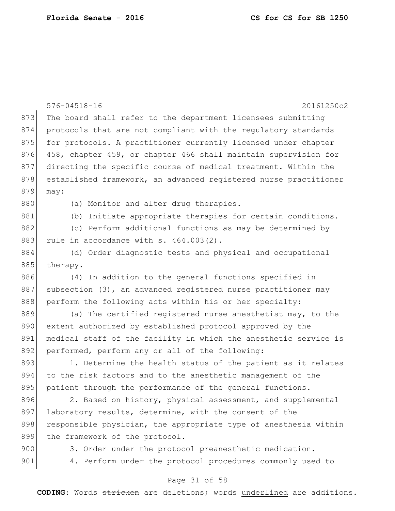|     | $576 - 04518 - 16$<br>20161250c2                                 |
|-----|------------------------------------------------------------------|
| 873 | The board shall refer to the department licensees submitting     |
| 874 | protocols that are not compliant with the regulatory standards   |
| 875 | for protocols. A practitioner currently licensed under chapter   |
| 876 | 458, chapter 459, or chapter 466 shall maintain supervision for  |
| 877 | directing the specific course of medical treatment. Within the   |
| 878 | established framework, an advanced registered nurse practitioner |
| 879 | may:                                                             |
| 880 | (a) Monitor and alter drug therapies.                            |
| 881 | Initiate appropriate therapies for certain conditions.<br>(b)    |
| 882 | (c) Perform additional functions as may be determined by         |
| 883 | rule in accordance with s. 464.003(2).                           |
| 884 | (d) Order diagnostic tests and physical and occupational         |
| 885 | therapy.                                                         |
| 886 | (4) In addition to the general functions specified in            |
| 887 | subsection (3), an advanced registered nurse practitioner may    |
| 888 | perform the following acts within his or her specialty:          |
| 889 | (a) The certified registered nurse anesthetist may, to the       |
| 890 | extent authorized by established protocol approved by the        |
| 891 | medical staff of the facility in which the anesthetic service is |
| 892 | performed, perform any or all of the following:                  |
| 893 | 1. Determine the health status of the patient as it relates      |
| 894 | to the risk factors and to the anesthetic management of the      |
| 895 | patient through the performance of the general functions.        |
| 896 | 2. Based on history, physical assessment, and supplemental       |
| 897 | laboratory results, determine, with the consent of the           |
| 898 | responsible physician, the appropriate type of anesthesia within |
| 899 | the framework of the protocol.                                   |
| 900 | 3. Order under the protocol preanesthetic medication.            |
| 901 | 4. Perform under the protocol procedures commonly used to        |
|     |                                                                  |

# Page 31 of 58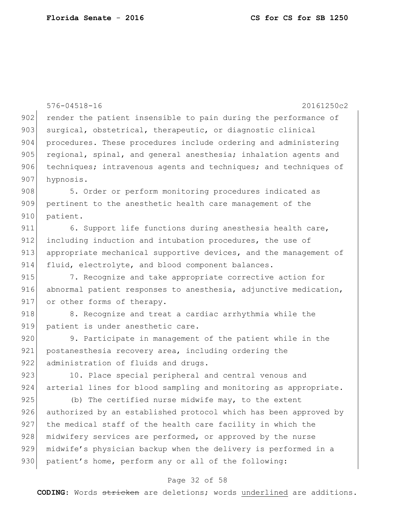576-04518-16 20161250c2 Page 32 of 58 902 render the patient insensible to pain during the performance of 903 surgical, obstetrical, therapeutic, or diagnostic clinical 904 procedures. These procedures include ordering and administering 905 regional, spinal, and general anesthesia; inhalation agents and 906 techniques; intravenous agents and techniques; and techniques of 907 hypnosis. 908 5. Order or perform monitoring procedures indicated as 909 pertinent to the anesthetic health care management of the 910 patient. 911 6. Support life functions during anesthesia health care, 912 including induction and intubation procedures, the use of 913 appropriate mechanical supportive devices, and the management of 914 fluid, electrolyte, and blood component balances. 915 7. Recognize and take appropriate corrective action for 916 abnormal patient responses to anesthesia, adjunctive medication, 917 or other forms of therapy. 918 8. Recognize and treat a cardiac arrhythmia while the 919 patient is under anesthetic care. 920 9. Participate in management of the patient while in the 921 postanesthesia recovery area, including ordering the 922 administration of fluids and drugs. 923 10. Place special peripheral and central venous and 924 arterial lines for blood sampling and monitoring as appropriate. 925 (b) The certified nurse midwife may, to the extent 926 authorized by an established protocol which has been approved by 927 the medical staff of the health care facility in which the 928 midwifery services are performed, or approved by the nurse 929 midwife's physician backup when the delivery is performed in a 930 patient's home, perform any or all of the following: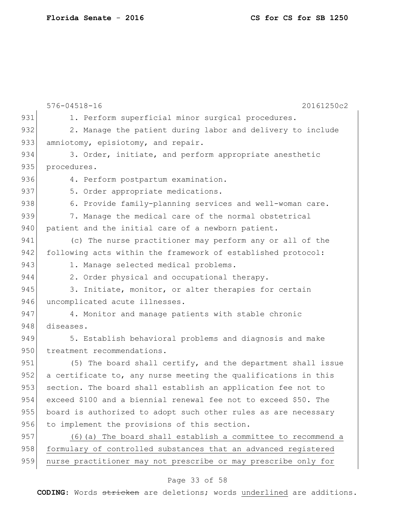576-04518-16 20161250c2 931 1. Perform superficial minor surgical procedures. 932 2. Manage the patient during labor and delivery to include 933 amniotomy, episiotomy, and repair. 934 3. Order, initiate, and perform appropriate anesthetic 935 procedures. 936 4. Perform postpartum examination. 937 5. Order appropriate medications. 938 6. Provide family-planning services and well-woman care. 939 7. Manage the medical care of the normal obstetrical 940 patient and the initial care of a newborn patient. 941 (c) The nurse practitioner may perform any or all of the 942 following acts within the framework of established protocol: 943 1. Manage selected medical problems. 944 2. Order physical and occupational therapy. 945 3. Initiate, monitor, or alter therapies for certain 946 uncomplicated acute illnesses. 947 4. Monitor and manage patients with stable chronic 948 diseases. 949 5. Establish behavioral problems and diagnosis and make 950 treatment recommendations. 951 (5) The board shall certify, and the department shall issue  $952$  a certificate to, any nurse meeting the qualifications in this 953 section. The board shall establish an application fee not to 954 exceed \$100 and a biennial renewal fee not to exceed \$50. The 955 board is authorized to adopt such other rules as are necessary 956 to implement the provisions of this section. 957 (6) (a) The board shall establish a committee to recommend a 958 formulary of controlled substances that an advanced registered 959 nurse practitioner may not prescribe or may prescribe only for

### Page 33 of 58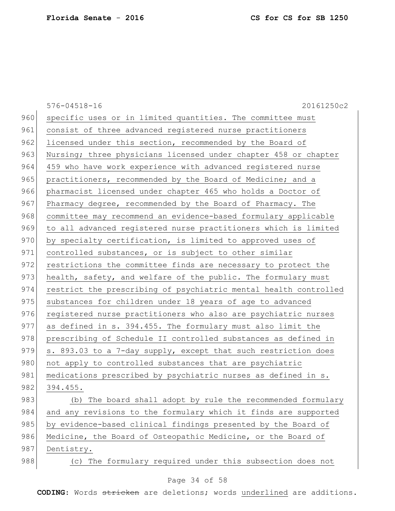|     | 20161250c2<br>$576 - 04518 - 16$                                 |
|-----|------------------------------------------------------------------|
| 960 | specific uses or in limited quantities. The committee must       |
| 961 | consist of three advanced registered nurse practitioners         |
| 962 | licensed under this section, recommended by the Board of         |
| 963 | Nursing; three physicians licensed under chapter 458 or chapter  |
| 964 | 459 who have work experience with advanced registered nurse      |
| 965 | practitioners, recommended by the Board of Medicine; and a       |
| 966 | pharmacist licensed under chapter 465 who holds a Doctor of      |
| 967 | Pharmacy degree, recommended by the Board of Pharmacy. The       |
| 968 | committee may recommend an evidence-based formulary applicable   |
| 969 | to all advanced registered nurse practitioners which is limited  |
| 970 | by specialty certification, is limited to approved uses of       |
| 971 | controlled substances, or is subject to other similar            |
| 972 | restrictions the committee finds are necessary to protect the    |
| 973 | health, safety, and welfare of the public. The formulary must    |
| 974 | restrict the prescribing of psychiatric mental health controlled |
| 975 | substances for children under 18 years of age to advanced        |
| 976 | registered nurse practitioners who also are psychiatric nurses   |
| 977 | as defined in s. 394.455. The formulary must also limit the      |
| 978 | prescribing of Schedule II controlled substances as defined in   |
| 979 | s. 893.03 to a 7-day supply, except that such restriction does   |
| 980 | not apply to controlled substances that are psychiatric          |
| 981 | medications prescribed by psychiatric nurses as defined in s.    |
| 982 | 394.455.                                                         |
| 983 | (b) The board shall adopt by rule the recommended formulary      |
| 984 | and any revisions to the formulary which it finds are supported  |
| 985 | by evidence-based clinical findings presented by the Board of    |
| 986 | Medicine, the Board of Osteopathic Medicine, or the Board of     |
| 987 | Dentistry.                                                       |
| 988 | (c) The formulary required under this subsection does not        |

# Page 34 of 58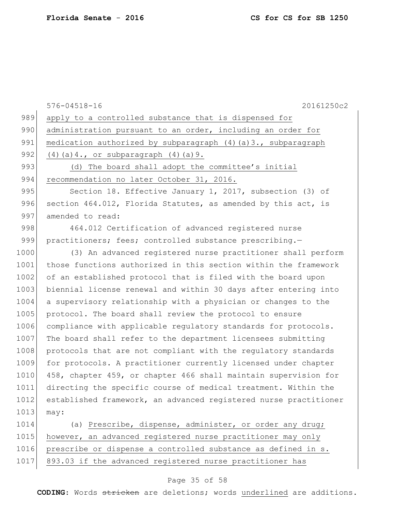576-04518-16 20161250c2 989 apply to a controlled substance that is dispensed for 990 administration pursuant to an order, including an order for 991 medication authorized by subparagraph  $(4)(a)3$ ., subparagraph 992 (4)(a)4., <u>or subparagraph (4)(a)9.</u> 993 (d) The board shall adopt the committee's initial 994 recommendation no later October 31, 2016. 995 Section 18. Effective January 1, 2017, subsection (3) of 996 section 464.012, Florida Statutes, as amended by this act, is 997 amended to read: 998 464.012 Certification of advanced registered nurse 999 practitioners; fees; controlled substance prescribing.-1000 (3) An advanced registered nurse practitioner shall perform 1001 those functions authorized in this section within the framework 1002 of an established protocol that is filed with the board upon 1003 biennial license renewal and within 30 days after entering into 1004 a supervisory relationship with a physician or changes to the 1005 protocol. The board shall review the protocol to ensure 1006 compliance with applicable regulatory standards for protocols. 1007 The board shall refer to the department licensees submitting 1008 protocols that are not compliant with the regulatory standards 1009 for protocols. A practitioner currently licensed under chapter 1010 458, chapter 459, or chapter 466 shall maintain supervision for 1011 directing the specific course of medical treatment. Within the 1012 established framework, an advanced registered nurse practitioner 1013 may: 1014 (a) Prescribe, dispense, administer, or order any drug; 1015 however, an advanced registered nurse practitioner may only 1016 prescribe or dispense a controlled substance as defined in s.

### 1017 893.03 if the advanced registered nurse practitioner has

### Page 35 of 58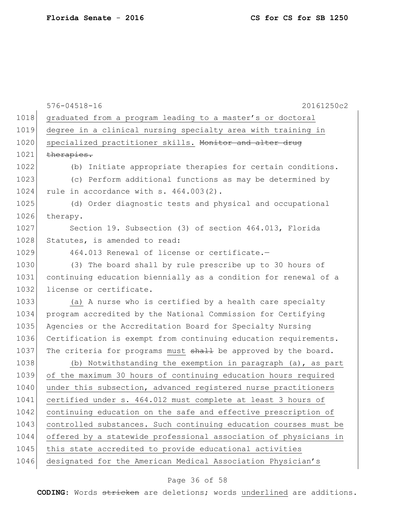|      | $576 - 04518 - 16$<br>20161250c2                                 |
|------|------------------------------------------------------------------|
| 1018 | graduated from a program leading to a master's or doctoral       |
| 1019 | degree in a clinical nursing specialty area with training in     |
| 1020 | specialized practitioner skills. Monitor and alter drug          |
| 1021 | therapies.                                                       |
| 1022 | (b) Initiate appropriate therapies for certain conditions.       |
| 1023 | (c) Perform additional functions as may be determined by         |
| 1024 | rule in accordance with s. 464.003(2).                           |
| 1025 | (d) Order diagnostic tests and physical and occupational         |
| 1026 | therapy.                                                         |
| 1027 | Section 19. Subsection (3) of section 464.013, Florida           |
| 1028 | Statutes, is amended to read:                                    |
| 1029 | 464.013 Renewal of license or certificate.-                      |
| 1030 | (3) The board shall by rule prescribe up to 30 hours of          |
| 1031 | continuing education biennially as a condition for renewal of a  |
| 1032 | license or certificate.                                          |
| 1033 | (a) A nurse who is certified by a health care specialty          |
| 1034 | program accredited by the National Commission for Certifying     |
| 1035 | Agencies or the Accreditation Board for Specialty Nursing        |
| 1036 | Certification is exempt from continuing education requirements.  |
| 1037 | The criteria for programs must shall be approved by the board.   |
| 1038 | (b) Notwithstanding the exemption in paragraph (a), as part      |
| 1039 | of the maximum 30 hours of continuing education hours required   |
| 1040 | under this subsection, advanced registered nurse practitioners   |
| 1041 | certified under s. 464.012 must complete at least 3 hours of     |
| 1042 | continuing education on the safe and effective prescription of   |
| 1043 | controlled substances. Such continuing education courses must be |
| 1044 | offered by a statewide professional association of physicians in |
| 1045 | this state accredited to provide educational activities          |
| 1046 | designated for the American Medical Association Physician's      |

# Page 36 of 58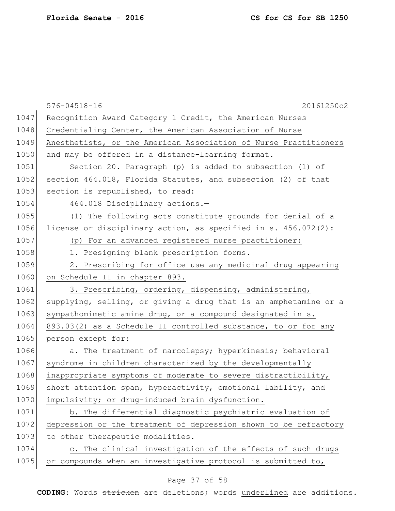|      | $576 - 04518 - 16$<br>20161250c2                                  |
|------|-------------------------------------------------------------------|
| 1047 | Recognition Award Category 1 Credit, the American Nurses          |
| 1048 | Credentialing Center, the American Association of Nurse           |
| 1049 | Anesthetists, or the American Association of Nurse Practitioners  |
| 1050 | and may be offered in a distance-learning format.                 |
| 1051 | Section 20. Paragraph (p) is added to subsection (1) of           |
| 1052 | section 464.018, Florida Statutes, and subsection (2) of that     |
| 1053 | section is republished, to read:                                  |
| 1054 | 464.018 Disciplinary actions.-                                    |
| 1055 | (1) The following acts constitute grounds for denial of a         |
| 1056 | license or disciplinary action, as specified in s. $456.072(2)$ : |
| 1057 | (p) For an advanced registered nurse practitioner:                |
| 1058 | 1. Presigning blank prescription forms.                           |
| 1059 | 2. Prescribing for office use any medicinal drug appearing        |
| 1060 | on Schedule II in chapter 893.                                    |
| 1061 | 3. Prescribing, ordering, dispensing, administering,              |
| 1062 | supplying, selling, or giving a drug that is an amphetamine or a  |
| 1063 | sympathomimetic amine drug, or a compound designated in s.        |
| 1064 | 893.03(2) as a Schedule II controlled substance, to or for any    |
| 1065 | person except for:                                                |
| 1066 | a. The treatment of narcolepsy; hyperkinesis; behavioral          |
| 1067 | syndrome in children characterized by the developmentally         |
| 1068 | inappropriate symptoms of moderate to severe distractibility,     |
| 1069 | short attention span, hyperactivity, emotional lability, and      |
| 1070 | impulsivity; or drug-induced brain dysfunction.                   |
| 1071 | b. The differential diagnostic psychiatric evaluation of          |
| 1072 | depression or the treatment of depression shown to be refractory  |
| 1073 | to other therapeutic modalities.                                  |
| 1074 | c. The clinical investigation of the effects of such drugs        |
| 1075 | or compounds when an investigative protocol is submitted to,      |

# Page 37 of 58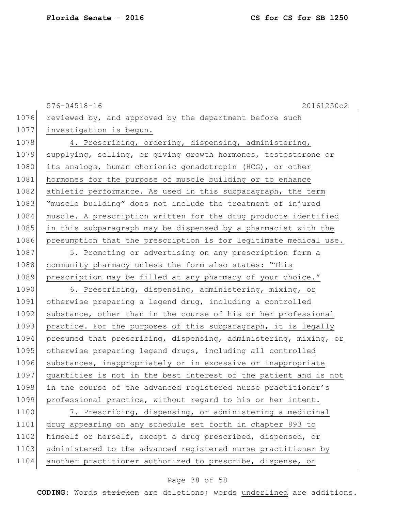576-04518-16 20161250c2 1076 reviewed by, and approved by the department before such 1077 investigation is begun. 1078 4. Prescribing, ordering, dispensing, administering, 1079 supplying, selling, or giving growth hormones, testosterone or 1080 its analogs, human chorionic gonadotropin (HCG), or other 1081 hormones for the purpose of muscle building or to enhance 1082 athletic performance. As used in this subparagraph, the term 1083 "muscle building" does not include the treatment of injured 1084 muscle. A prescription written for the drug products identified 1085 in this subparagraph may be dispensed by a pharmacist with the 1086 presumption that the prescription is for legitimate medical use. 1087 5. Promoting or advertising on any prescription form a 1088 community pharmacy unless the form also states: "This 1089 prescription may be filled at any pharmacy of your choice." 1090 6. Prescribing, dispensing, administering, mixing, or 1091 otherwise preparing a legend drug, including a controlled 1092 substance, other than in the course of his or her professional 1093 practice. For the purposes of this subparagraph, it is legally 1094 presumed that prescribing, dispensing, administering, mixing, or 1095 otherwise preparing legend drugs, including all controlled 1096 substances, inappropriately or in excessive or inappropriate 1097 quantities is not in the best interest of the patient and is not 1098 in the course of the advanced registered nurse practitioner's 1099 professional practice, without regard to his or her intent. 1100 7. Prescribing, dispensing, or administering a medicinal 1101 drug appearing on any schedule set forth in chapter 893 to 1102 himself or herself, except a drug prescribed, dispensed, or 1103 administered to the advanced registered nurse practitioner by 1104 another practitioner authorized to prescribe, dispense, or

#### Page 38 of 58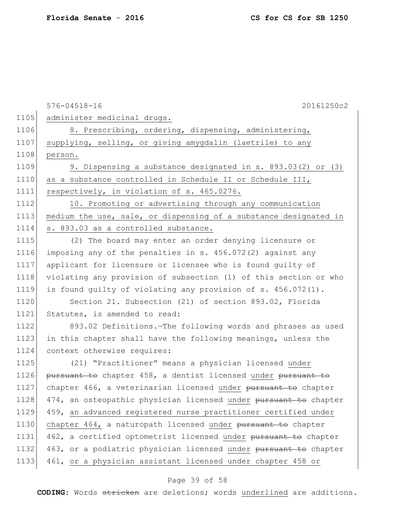|      | $576 - 04518 - 16$<br>20161250c2                                 |
|------|------------------------------------------------------------------|
| 1105 | administer medicinal drugs.                                      |
| 1106 | 8. Prescribing, ordering, dispensing, administering,             |
| 1107 | supplying, selling, or giving amygdalin (laetrile) to any        |
| 1108 | person.                                                          |
| 1109 | 9. Dispensing a substance designated in s. 893.03(2) or (3)      |
| 1110 | as a substance controlled in Schedule II or Schedule III,        |
| 1111 | respectively, in violation of s. 465.0276.                       |
| 1112 | 10. Promoting or advertising through any communication           |
| 1113 | medium the use, sale, or dispensing of a substance designated in |
| 1114 | s. 893.03 as a controlled substance.                             |
| 1115 | (2) The board may enter an order denying licensure or            |
| 1116 | imposing any of the penalties in s. 456.072(2) against any       |
| 1117 | applicant for licensure or licensee who is found guilty of       |
| 1118 | violating any provision of subsection (1) of this section or who |
| 1119 | is found quilty of violating any provision of s. 456.072(1).     |
| 1120 | Section 21. Subsection (21) of section 893.02, Florida           |
| 1121 | Statutes, is amended to read:                                    |
| 1122 | 893.02 Definitions. The following words and phrases as used      |
| 1123 | in this chapter shall have the following meanings, unless the    |
| 1124 | context otherwise requires:                                      |
| 1125 | (21) "Practitioner" means a physician licensed under             |
| 1126 | pursuant to chapter 458, a dentist licensed under pursuant to    |
| 1127 | chapter 466, a veterinarian licensed under pursuant to chapter   |
| 1128 | 474, an osteopathic physician licensed under pursuant to chapter |
| 1129 | 459, an advanced registered nurse practitioner certified under   |
| 1130 | chapter 464, a naturopath licensed under pursuant to chapter     |
| 1131 | 462, a certified optometrist licensed under pursuant to chapter  |
| 1132 | 463, or a podiatric physician licensed under pursuant to chapter |
| 1133 | 461, or a physician assistant licensed under chapter 458 or      |
|      |                                                                  |

### Page 39 of 58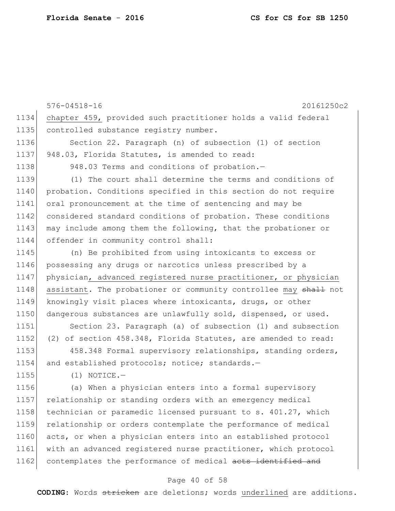576-04518-16 20161250c2 1134 chapter 459, provided such practitioner holds a valid federal 1135 controlled substance registry number. 1136 Section 22. Paragraph (n) of subsection (1) of section 1137 948.03, Florida Statutes, is amended to read: 1138 948.03 Terms and conditions of probation. 1139 (1) The court shall determine the terms and conditions of 1140 probation. Conditions specified in this section do not require 1141 oral pronouncement at the time of sentencing and may be 1142 considered standard conditions of probation. These conditions 1143 may include among them the following, that the probationer or 1144 offender in community control shall: 1145 (n) Be prohibited from using intoxicants to excess or 1146 possessing any drugs or narcotics unless prescribed by a 1147 physician, advanced registered nurse practitioner, or physician 1148 assistant. The probationer or community controllee may shall not 1149 knowingly visit places where intoxicants, drugs, or other 1150 dangerous substances are unlawfully sold, dispensed, or used.

1151 Section 23. Paragraph (a) of subsection (1) and subsection 1152 (2) of section 458.348, Florida Statutes, are amended to read:

1153 458.348 Formal supervisory relationships, standing orders, 1154 and established protocols; notice; standards.-

1155 (1) NOTICE.

1156 (a) When a physician enters into a formal supervisory 1157 relationship or standing orders with an emergency medical 1158 technician or paramedic licensed pursuant to s. 401.27, which 1159 relationship or orders contemplate the performance of medical 1160 acts, or when a physician enters into an established protocol 1161 with an advanced registered nurse practitioner, which protocol 1162 contemplates the performance of medical acts identified and

### Page 40 of 58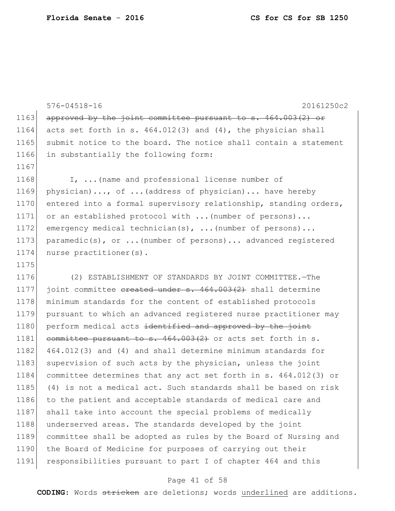576-04518-16 20161250c2 1163 approved by the joint committee pursuant to s. 464.003(2) or 1164 acts set forth in s.  $464.012(3)$  and  $(4)$ , the physician shall 1165 submit notice to the board. The notice shall contain a statement 1166 in substantially the following form: 1167 1168 I, ... (name and professional license number of 1169 physician)..., of ...(address of physician)... have hereby 1170 entered into a formal supervisory relationship, standing orders, 1171 or an established protocol with ... (number of persons)... 1172 emergency medical technician(s), ... (number of persons)... 1173 paramedic(s), or ...(number of persons)... advanced registered 1174 nurse practitioner(s). 1175 1176 (2) ESTABLISHMENT OF STANDARDS BY JOINT COMMITTEE.—The 1177 joint committee created under s. 464.003(2) shall determine 1178 minimum standards for the content of established protocols 1179 pursuant to which an advanced registered nurse practitioner may 1180 perform medical acts identified and approved by the joint 1181 committee pursuant to s.  $464.003(2)$  or acts set forth in s. 1182 464.012(3) and (4) and shall determine minimum standards for 1183 supervision of such acts by the physician, unless the joint 1184 committee determines that any act set forth in s. 464.012(3) or 1185  $(4)$  is not a medical act. Such standards shall be based on risk 1186 to the patient and acceptable standards of medical care and 1187 shall take into account the special problems of medically 1188 underserved areas. The standards developed by the joint 1189 committee shall be adopted as rules by the Board of Nursing and 1190 the Board of Medicine for purposes of carrying out their 1191 responsibilities pursuant to part I of chapter 464 and this

### Page 41 of 58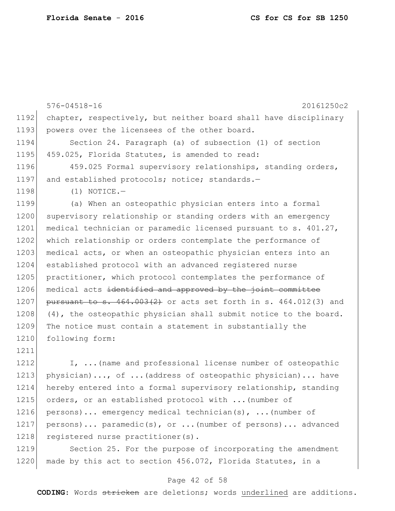|      | $576 - 04518 - 16$<br>20161250c2                                     |
|------|----------------------------------------------------------------------|
| 1192 | chapter, respectively, but neither board shall have disciplinary     |
| 1193 | powers over the licensees of the other board.                        |
| 1194 | Section 24. Paragraph (a) of subsection (1) of section               |
| 1195 | 459.025, Florida Statutes, is amended to read:                       |
| 1196 | 459.025 Formal supervisory relationships, standing orders,           |
| 1197 | and established protocols; notice; standards.-                       |
| 1198 | $(1)$ NOTICE.-                                                       |
| 1199 | (a) When an osteopathic physician enters into a formal               |
| 1200 | supervisory relationship or standing orders with an emergency        |
| 1201 | medical technician or paramedic licensed pursuant to s. 401.27,      |
| 1202 | which relationship or orders contemplate the performance of          |
| 1203 | medical acts, or when an osteopathic physician enters into an        |
| 1204 | established protocol with an advanced registered nurse               |
| 1205 | practitioner, which protocol contemplates the performance of         |
| 1206 | medical acts identified and approved by the joint committee          |
| 1207 | pursuant to s. $464.003(2)$ or acts set forth in s. $464.012(3)$ and |
| 1208 | (4), the osteopathic physician shall submit notice to the board.     |
| 1209 | The notice must contain a statement in substantially the             |
| 1210 | following form:                                                      |
| 1211 |                                                                      |
| 1212 | I,  (name and professional license number of osteopathic             |
| 1213 | physician), of  (address of osteopathic physician) have              |
| 1214 | hereby entered into a formal supervisory relationship, standing      |
| 1215 | orders, or an established protocol with  (number of                  |
| 1216 | persons) emergency medical technician(s),  (number of                |

1217 persons)... paramedic(s), or ... (number of persons)... advanced 1218 registered nurse practitioner(s).

1219 Section 25. For the purpose of incorporating the amendment 1220 made by this act to section 456.072, Florida Statutes, in a

### Page 42 of 58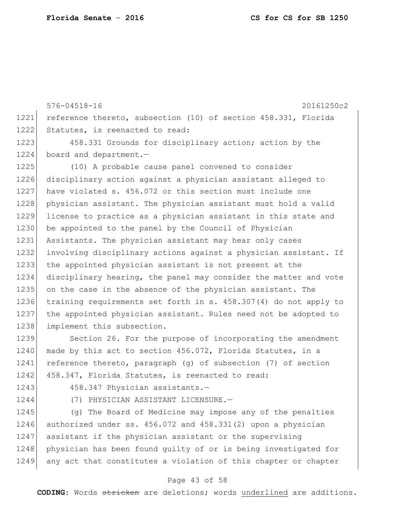576-04518-16 20161250c2 1221 reference thereto, subsection (10) of section 458.331, Florida 1222 Statutes, is reenacted to read: 1223 458.331 Grounds for disciplinary action; action by the 1224 board and department.-1225 (10) A probable cause panel convened to consider 1226 disciplinary action against a physician assistant alleged to 1227 have violated s. 456.072 or this section must include one 1228 physician assistant. The physician assistant must hold a valid 1229 license to practice as a physician assistant in this state and 1230 be appointed to the panel by the Council of Physician 1231 Assistants. The physician assistant may hear only cases 1232 involving disciplinary actions against a physician assistant. If 1233 the appointed physician assistant is not present at the 1234 disciplinary hearing, the panel may consider the matter and vote 1235 on the case in the absence of the physician assistant. The 1236 training requirements set forth in s. 458.307(4) do not apply to 1237 the appointed physician assistant. Rules need not be adopted to 1238 implement this subsection.

1239 Section 26. For the purpose of incorporating the amendment 1240 | made by this act to section 456.072, Florida Statutes, in a 1241 reference thereto, paragraph (g) of subsection (7) of section 1242 458.347, Florida Statutes, is reenacted to read:

1243 458.347 Physician assistants.

1244 (7) PHYSICIAN ASSISTANT LICENSURE.—

1245 (g) The Board of Medicine may impose any of the penalties 1246 authorized under ss.  $456.072$  and  $458.331(2)$  upon a physician 1247 assistant if the physician assistant or the supervising 1248 physician has been found guilty of or is being investigated for 1249 any act that constitutes a violation of this chapter or chapter

### Page 43 of 58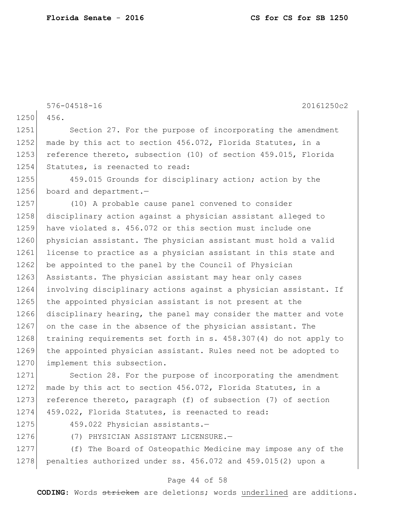576-04518-16 20161250c2 1250 456. 1251 Section 27. For the purpose of incorporating the amendment 1252 made by this act to section 456.072, Florida Statutes, in a 1253 reference thereto, subsection (10) of section 459.015, Florida 1254 Statutes, is reenacted to read: 1255 459.015 Grounds for disciplinary action; action by the 1256 board and department.-1257 (10) A probable cause panel convened to consider 1258 disciplinary action against a physician assistant alleged to 1259 have violated s. 456.072 or this section must include one 1260 physician assistant. The physician assistant must hold a valid 1261 license to practice as a physician assistant in this state and 1262 be appointed to the panel by the Council of Physician 1263 Assistants. The physician assistant may hear only cases 1264 involving disciplinary actions against a physician assistant. If 1265 the appointed physician assistant is not present at the 1266 disciplinary hearing, the panel may consider the matter and vote 1267 on the case in the absence of the physician assistant. The 1268 training requirements set forth in s. 458.307(4) do not apply to 1269 the appointed physician assistant. Rules need not be adopted to 1270 implement this subsection.

1271 Section 28. For the purpose of incorporating the amendment 1272 made by this act to section 456.072, Florida Statutes, in a 1273 reference thereto, paragraph (f) of subsection (7) of section 1274 459.022, Florida Statutes, is reenacted to read:

- 
- 

1275 459.022 Physician assistants.-

1276 (7) PHYSICIAN ASSISTANT LICENSURE.

1277 (f) The Board of Osteopathic Medicine may impose any of the 1278 penalties authorized under ss. 456.072 and 459.015(2) upon a

### Page 44 of 58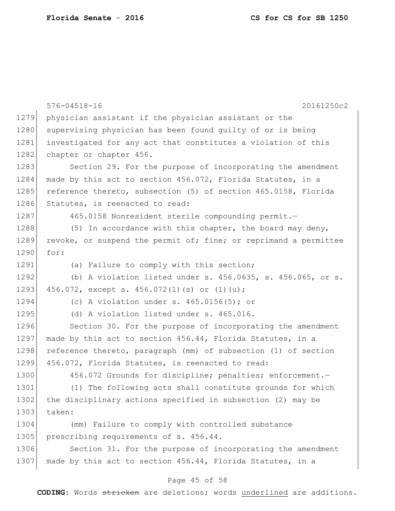|      | $576 - 04518 - 16$<br>20161250c2                                  |
|------|-------------------------------------------------------------------|
| 1279 | physician assistant if the physician assistant or the             |
| 1280 | supervising physician has been found quilty of or is being        |
| 1281 | investigated for any act that constitutes a violation of this     |
| 1282 | chapter or chapter 456.                                           |
| 1283 | Section 29. For the purpose of incorporating the amendment        |
| 1284 | made by this act to section 456.072, Florida Statutes, in a       |
| 1285 | reference thereto, subsection (5) of section 465.0158, Florida    |
| 1286 | Statutes, is reenacted to read:                                   |
| 1287 | 465.0158 Nonresident sterile compounding permit.-                 |
| 1288 | (5) In accordance with this chapter, the board may deny,          |
| 1289 | revoke, or suspend the permit of; fine; or reprimand a permittee  |
| 1290 | for:                                                              |
| 1291 | (a) Failure to comply with this section;                          |
| 1292 | (b) A violation listed under s. $456.0635$ , s. $456.065$ , or s. |
| 1293 |                                                                   |
| 1294 | 456.072, except s. 456.072(1)(s) or (1)(u);                       |
| 1295 | (c) A violation under s. $465.0156(5)$ ; or                       |
|      | (d) A violation listed under s. 465.016.                          |
| 1296 | Section 30. For the purpose of incorporating the amendment        |
| 1297 | made by this act to section 456.44, Florida Statutes, in a        |
| 1298 | reference thereto, paragraph (mm) of subsection (1) of section    |
| 1299 | 456.072, Florida Statutes, is reenacted to read:                  |
| 1300 | 456.072 Grounds for discipline; penalties; enforcement.-          |
| 1301 | (1) The following acts shall constitute grounds for which         |
| 1302 | the disciplinary actions specified in subsection (2) may be       |
| 1303 | taken:                                                            |
| 1304 | (mm) Failure to comply with controlled substance                  |
| 1305 | prescribing requirements of s. 456.44.                            |
| 1306 | Section 31. For the purpose of incorporating the amendment        |
| 1307 | made by this act to section 456.44, Florida Statutes, in a        |
|      | Page 45 of 58                                                     |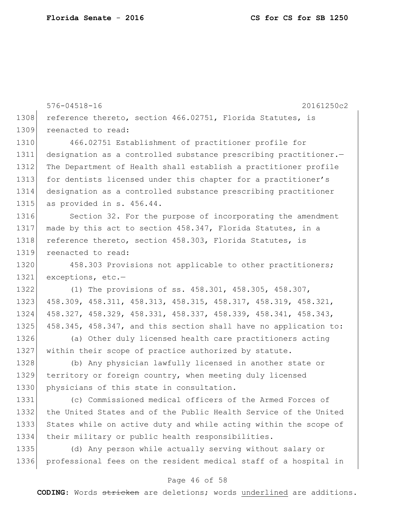576-04518-16 20161250c2 1308 reference thereto, section 466.02751, Florida Statutes, is 1309 reenacted to read: 1310 466.02751 Establishment of practitioner profile for 1311 designation as a controlled substance prescribing practitioner.— 1312 The Department of Health shall establish a practitioner profile 1313 for dentists licensed under this chapter for a practitioner's 1314 designation as a controlled substance prescribing practitioner 1315 as provided in s. 456.44. 1316 Section 32. For the purpose of incorporating the amendment 1317 made by this act to section 458.347, Florida Statutes, in a 1318 reference thereto, section 458.303, Florida Statutes, is 1319 reenacted to read: 1320 458.303 Provisions not applicable to other practitioners; 1321 exceptions, etc.-1322 (1) The provisions of ss. 458.301, 458.305, 458.307, 1323 458.309, 458.311, 458.313, 458.315, 458.317, 458.319, 458.321, 1324 458.327, 458.329, 458.331, 458.337, 458.339, 458.341, 458.343, 1325 458.345, 458.347, and this section shall have no application to: 1326 (a) Other duly licensed health care practitioners acting 1327 | within their scope of practice authorized by statute. 1328 (b) Any physician lawfully licensed in another state or 1329 territory or foreign country, when meeting duly licensed 1330 physicians of this state in consultation. 1331 (c) Commissioned medical officers of the Armed Forces of 1332 the United States and of the Public Health Service of the United 1333 States while on active duty and while acting within the scope of 1334 their military or public health responsibilities. 1335 (d) Any person while actually serving without salary or

### Page 46 of 58

1336 professional fees on the resident medical staff of a hospital in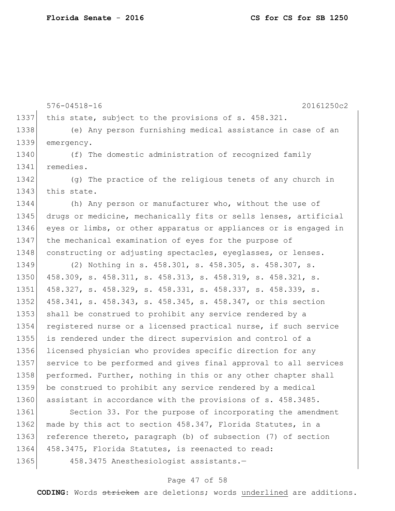576-04518-16 20161250c2 1337 this state, subject to the provisions of s. 458.321. 1338 (e) Any person furnishing medical assistance in case of an 1339 emergency. 1340 (f) The domestic administration of recognized family 1341 remedies. 1342 (g) The practice of the religious tenets of any church in 1343 this state. 1344 (h) Any person or manufacturer who, without the use of 1345 drugs or medicine, mechanically fits or sells lenses, artificial 1346 eyes or limbs, or other apparatus or appliances or is engaged in 1347 the mechanical examination of eyes for the purpose of 1348 constructing or adjusting spectacles, eyeglasses, or lenses. 1349 (2) Nothing in s. 458.301, s. 458.305, s. 458.307, s. 1350 458.309, s. 458.311, s. 458.313, s. 458.319, s. 458.321, s. 1351 458.327, s. 458.329, s. 458.331, s. 458.337, s. 458.339, s. 1352 458.341, s. 458.343, s. 458.345, s. 458.347, or this section 1353 shall be construed to prohibit any service rendered by a 1354 registered nurse or a licensed practical nurse, if such service 1355 is rendered under the direct supervision and control of a 1356 licensed physician who provides specific direction for any 1357 service to be performed and gives final approval to all services 1358 performed. Further, nothing in this or any other chapter shall 1359 be construed to prohibit any service rendered by a medical 1360 assistant in accordance with the provisions of s. 458.3485.

1361 Section 33. For the purpose of incorporating the amendment 1362 made by this act to section 458.347, Florida Statutes, in a 1363 reference thereto, paragraph (b) of subsection (7) of section 1364 458.3475, Florida Statutes, is reenacted to read: 1365 458.3475 Anesthesiologist assistants.-

### Page 47 of 58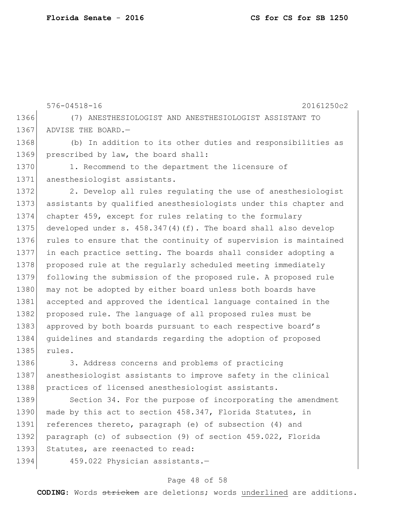576-04518-16 20161250c2 1366 (7) ANESTHESIOLOGIST AND ANESTHESIOLOGIST ASSISTANT TO 1367 ADVISE THE BOARD. 1368 (b) In addition to its other duties and responsibilities as 1369 prescribed by law, the board shall: 1370 1. Recommend to the department the licensure of 1371 anesthesiologist assistants. 1372 2. Develop all rules regulating the use of anesthesiologist 1373 assistants by qualified anesthesiologists under this chapter and 1374 chapter 459, except for rules relating to the formulary 1375 developed under s. 458.347(4)(f). The board shall also develop 1376 rules to ensure that the continuity of supervision is maintained 1377 in each practice setting. The boards shall consider adopting a 1378 proposed rule at the regularly scheduled meeting immediately 1379 following the submission of the proposed rule. A proposed rule 1380 may not be adopted by either board unless both boards have 1381 accepted and approved the identical language contained in the 1382 proposed rule. The language of all proposed rules must be 1383 approved by both boards pursuant to each respective board's 1384 guidelines and standards regarding the adoption of proposed 1385 rules. 1386 3. Address concerns and problems of practicing 1387 anesthesiologist assistants to improve safety in the clinical 1388 practices of licensed anesthesiologist assistants. 1389 Section 34. For the purpose of incorporating the amendment

1390 made by this act to section 458.347, Florida Statutes, in 1391 references thereto, paragraph (e) of subsection (4) and 1392 paragraph (c) of subsection (9) of section 459.022, Florida 1393 Statutes, are reenacted to read:

1394 459.022 Physician assistants.-

### Page 48 of 58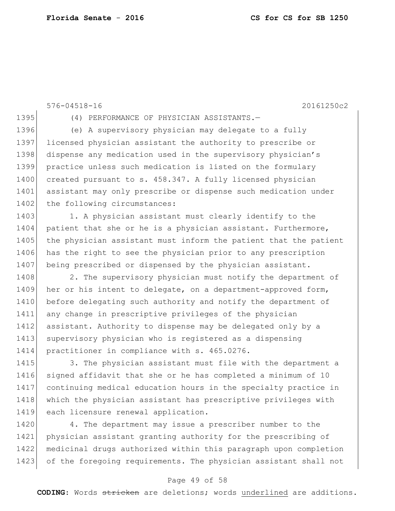576-04518-16 20161250c2 1395 (4) PERFORMANCE OF PHYSICIAN ASSISTANTS. 1396 (e) A supervisory physician may delegate to a fully 1397 licensed physician assistant the authority to prescribe or 1398 dispense any medication used in the supervisory physician's 1399 practice unless such medication is listed on the formulary 1400 created pursuant to s. 458.347. A fully licensed physician 1401 assistant may only prescribe or dispense such medication under 1402 the following circumstances: 1403 1. A physician assistant must clearly identify to the 1404 patient that she or he is a physician assistant. Furthermore, 1405 the physician assistant must inform the patient that the patient 1406 has the right to see the physician prior to any prescription 1407 being prescribed or dispensed by the physician assistant. 1408 2. The supervisory physician must notify the department of 1409 her or his intent to delegate, on a department-approved form, 1410 before delegating such authority and notify the department of 1411 any change in prescriptive privileges of the physician 1412 assistant. Authority to dispense may be delegated only by a 1413 supervisory physician who is registered as a dispensing

1414 practitioner in compliance with s. 465.0276.

1415 3. The physician assistant must file with the department a 1416 signed affidavit that she or he has completed a minimum of 10 1417 continuing medical education hours in the specialty practice in 1418 which the physician assistant has prescriptive privileges with 1419 each licensure renewal application.

1420 4. The department may issue a prescriber number to the 1421 physician assistant granting authority for the prescribing of 1422 medicinal drugs authorized within this paragraph upon completion 1423 of the foregoing requirements. The physician assistant shall not

### Page 49 of 58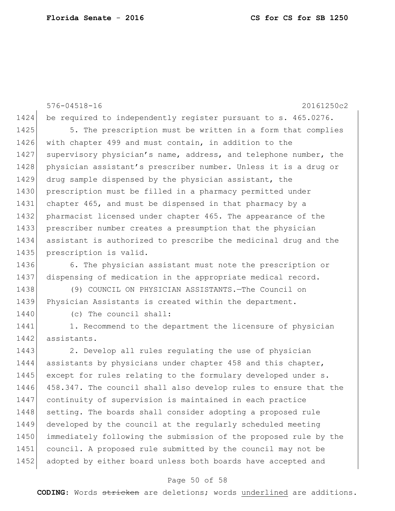576-04518-16 20161250c2 1424 be required to independently register pursuant to s. 465.0276. 1425 5. The prescription must be written in a form that complies 1426 with chapter 499 and must contain, in addition to the 1427 supervisory physician's name, address, and telephone number, the 1428 physician assistant's prescriber number. Unless it is a drug or 1429 drug sample dispensed by the physician assistant, the 1430 prescription must be filled in a pharmacy permitted under 1431 chapter 465, and must be dispensed in that pharmacy by a 1432 pharmacist licensed under chapter 465. The appearance of the 1433 prescriber number creates a presumption that the physician 1434 assistant is authorized to prescribe the medicinal drug and the 1435 prescription is valid. 1436 6. The physician assistant must note the prescription or 1437 dispensing of medication in the appropriate medical record. 1438 (9) COUNCIL ON PHYSICIAN ASSISTANTS.—The Council on 1439 Physician Assistants is created within the department. 1440 (c) The council shall: 1441 1. Recommend to the department the licensure of physician 1442 assistants. 1443 2. Develop all rules regulating the use of physician 1444 assistants by physicians under chapter 458 and this chapter, 1445 except for rules relating to the formulary developed under s. 1446 458.347. The council shall also develop rules to ensure that the 1447 continuity of supervision is maintained in each practice 1448 setting. The boards shall consider adopting a proposed rule 1449 developed by the council at the regularly scheduled meeting 1450 immediately following the submission of the proposed rule by the

1451 council. A proposed rule submitted by the council may not be 1452 adopted by either board unless both boards have accepted and

### Page 50 of 58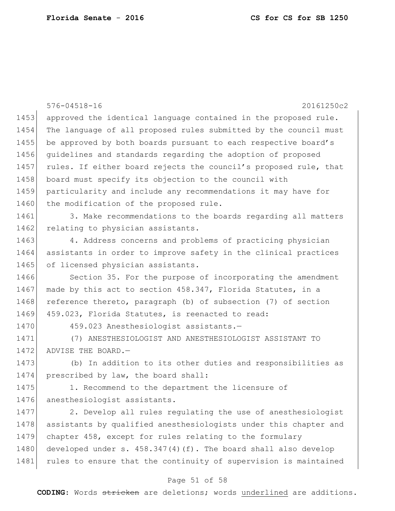|      | $576 - 04518 - 16$<br>20161250c2                                  |
|------|-------------------------------------------------------------------|
| 1453 | approved the identical language contained in the proposed rule.   |
| 1454 | The language of all proposed rules submitted by the council must  |
| 1455 | be approved by both boards pursuant to each respective board's    |
| 1456 | quidelines and standards regarding the adoption of proposed       |
| 1457 | rules. If either board rejects the council's proposed rule, that  |
| 1458 | board must specify its objection to the council with              |
| 1459 | particularity and include any recommendations it may have for     |
| 1460 | the modification of the proposed rule.                            |
| 1461 | 3. Make recommendations to the boards regarding all matters       |
| 1462 | relating to physician assistants.                                 |
| 1463 | 4. Address concerns and problems of practicing physician          |
| 1464 | assistants in order to improve safety in the clinical practices   |
| 1465 | of licensed physician assistants.                                 |
| 1466 | Section 35. For the purpose of incorporating the amendment        |
| 1467 | made by this act to section 458.347, Florida Statutes, in a       |
| 1468 | reference thereto, paragraph (b) of subsection (7) of section     |
| 1469 | 459.023, Florida Statutes, is reenacted to read:                  |
| 1470 | 459.023 Anesthesiologist assistants.-                             |
| 1471 | (7) ANESTHESIOLOGIST AND ANESTHESIOLOGIST ASSISTANT TO            |
| 1472 | ADVISE THE BOARD.-                                                |
| 1473 | (b) In addition to its other duties and responsibilities as       |
| 1474 | prescribed by law, the board shall:                               |
| 1475 | 1. Recommend to the department the licensure of                   |
| 1476 | anesthesiologist assistants.                                      |
| 1477 | 2. Develop all rules regulating the use of anesthesiologist       |
| 1478 | assistants by qualified anesthesiologists under this chapter and  |
| 1479 | chapter 458, except for rules relating to the formulary           |
| 1480 | developed under $s. 458.347(4)$ (f). The board shall also develop |
| 1481 | rules to ensure that the continuity of supervision is maintained  |

# Page 51 of 58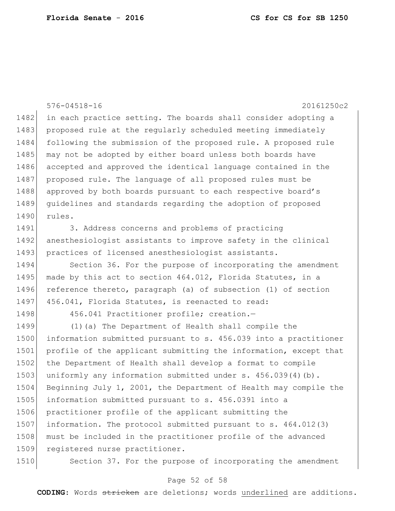|      | $576 - 04518 - 16$<br>20161250c2                                 |
|------|------------------------------------------------------------------|
| 1482 | in each practice setting. The boards shall consider adopting a   |
| 1483 | proposed rule at the regularly scheduled meeting immediately     |
| 1484 | following the submission of the proposed rule. A proposed rule   |
| 1485 | may not be adopted by either board unless both boards have       |
| 1486 | accepted and approved the identical language contained in the    |
| 1487 | proposed rule. The language of all proposed rules must be        |
| 1488 | approved by both boards pursuant to each respective board's      |
| 1489 | quidelines and standards regarding the adoption of proposed      |
| 1490 | rules.                                                           |
| 1491 | 3. Address concerns and problems of practicing                   |
| 1492 | anesthesiologist assistants to improve safety in the clinical    |
| 1493 | practices of licensed anesthesiologist assistants.               |
| 1494 | Section 36. For the purpose of incorporating the amendment       |
| 1495 | made by this act to section 464.012, Florida Statutes, in a      |
| 1496 | reference thereto, paragraph (a) of subsection (1) of section    |
| 1497 | 456.041, Florida Statutes, is reenacted to read:                 |
| 1498 | 456.041 Practitioner profile; creation.-                         |
| 1499 | (1) (a) The Department of Health shall compile the               |
| 1500 | information submitted pursuant to s. 456.039 into a practitioner |
| 1501 | profile of the applicant submitting the information, except that |
| 1502 | the Department of Health shall develop a format to compile       |
| 1503 | uniformly any information submitted under $s. 456.039(4)$ (b).   |
| 1504 | Beginning July 1, 2001, the Department of Health may compile the |
| 1505 | information submitted pursuant to s. 456.0391 into a             |
| 1506 | practitioner profile of the applicant submitting the             |
| 1507 | information. The protocol submitted pursuant to s. 464.012(3)    |
| 1508 | must be included in the practitioner profile of the advanced     |
| 1509 | registered nurse practitioner.                                   |
|      |                                                                  |

1510 Section 37. For the purpose of incorporating the amendment

# Page 52 of 58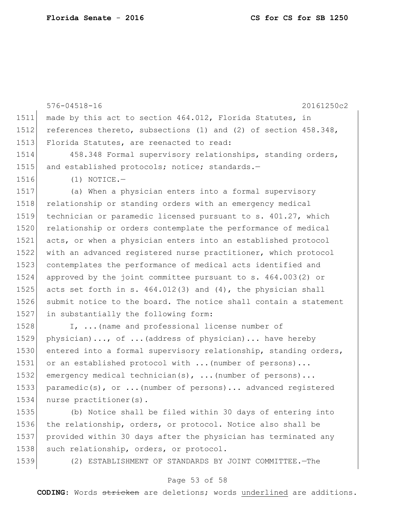576-04518-16 20161250c2 1511 made by this act to section 464.012, Florida Statutes, in 1512 references thereto, subsections (1) and (2) of section 458.348, 1513 Florida Statutes, are reenacted to read: 1514 458.348 Formal supervisory relationships, standing orders, 1515 and established protocols; notice; standards.-1516 (1) NOTICE.— 1517 (a) When a physician enters into a formal supervisory 1518 relationship or standing orders with an emergency medical 1519 technician or paramedic licensed pursuant to s. 401.27, which 1520 relationship or orders contemplate the performance of medical 1521 acts, or when a physician enters into an established protocol 1522 with an advanced registered nurse practitioner, which protocol 1523 contemplates the performance of medical acts identified and 1524 approved by the joint committee pursuant to s. 464.003(2) or 1525 acts set forth in s.  $464.012(3)$  and  $(4)$ , the physician shall 1526 submit notice to the board. The notice shall contain a statement 1527 in substantially the following form: 1528 I, ... (name and professional license number of

1529 physician)..., of ...(address of physician)... have hereby 1530 entered into a formal supervisory relationship, standing orders, 1531 or an established protocol with ... (number of persons)... 1532 emergency medical technician(s), ... (number of persons)... 1533 paramedic(s), or ...(number of persons)... advanced registered 1534 nurse practitioner(s).

 (b) Notice shall be filed within 30 days of entering into the relationship, orders, or protocol. Notice also shall be provided within 30 days after the physician has terminated any 1538 such relationship, orders, or protocol.

1539 (2) ESTABLISHMENT OF STANDARDS BY JOINT COMMITTEE.—The

### Page 53 of 58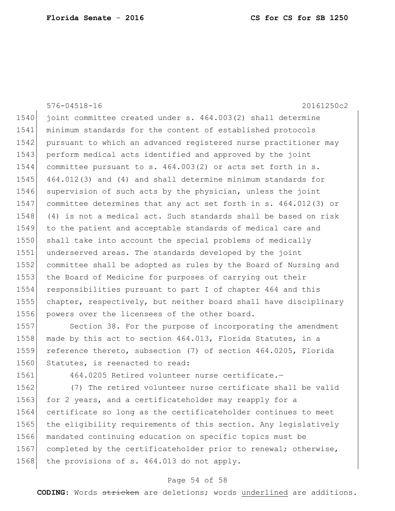576-04518-16 20161250c2 1540 joint committee created under s. 464.003(2) shall determine minimum standards for the content of established protocols 1542 pursuant to which an advanced registered nurse practitioner may 1543 perform medical acts identified and approved by the joint committee pursuant to s. 464.003(2) or acts set forth in s. 464.012(3) and (4) and shall determine minimum standards for supervision of such acts by the physician, unless the joint committee determines that any act set forth in s. 464.012(3) or (4) is not a medical act. Such standards shall be based on risk to the patient and acceptable standards of medical care and 1550 shall take into account the special problems of medically underserved areas. The standards developed by the joint committee shall be adopted as rules by the Board of Nursing and 1553 the Board of Medicine for purposes of carrying out their responsibilities pursuant to part I of chapter 464 and this chapter, respectively, but neither board shall have disciplinary powers over the licensees of the other board.

1557 Section 38. For the purpose of incorporating the amendment 1558 made by this act to section 464.013, Florida Statutes, in a 1559 reference thereto, subsection (7) of section 464.0205, Florida 1560 Statutes, is reenacted to read:

1561 464.0205 Retired volunteer nurse certificate.

1562 (7) The retired volunteer nurse certificate shall be valid 1563 for 2 years, and a certificateholder may reapply for a 1564 certificate so long as the certificateholder continues to meet 1565 the eligibility requirements of this section. Any legislatively 1566 mandated continuing education on specific topics must be 1567 completed by the certificateholder prior to renewal; otherwise, 1568 the provisions of s. 464.013 do not apply.

### Page 54 of 58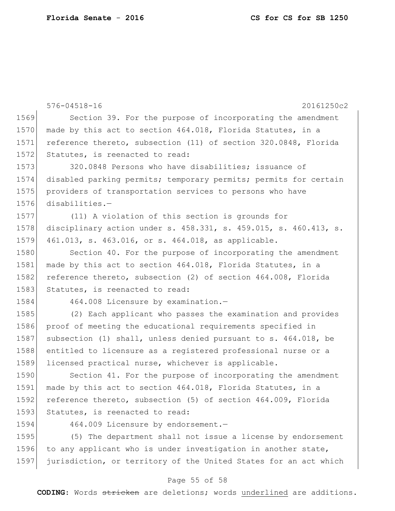576-04518-16 20161250c2 1569 Section 39. For the purpose of incorporating the amendment 1570 made by this act to section 464.018, Florida Statutes, in a 1571 reference thereto, subsection (11) of section 320.0848, Florida 1572 Statutes, is reenacted to read: 1573 320.0848 Persons who have disabilities; issuance of 1574 disabled parking permits; temporary permits; permits for certain 1575 providers of transportation services to persons who have 1576 disabilities.— 1577 (11) A violation of this section is grounds for 1578 disciplinary action under s. 458.331, s. 459.015, s. 460.413, s. 1579 461.013, s. 463.016, or s. 464.018, as applicable. 1580 Section 40. For the purpose of incorporating the amendment 1581 made by this act to section 464.018, Florida Statutes, in a 1582 reference thereto, subsection (2) of section 464.008, Florida 1583 Statutes, is reenacted to read: 1584 464.008 Licensure by examination.-1585 (2) Each applicant who passes the examination and provides 1586 proof of meeting the educational requirements specified in 1587 subsection (1) shall, unless denied pursuant to s. 464.018, be 1588 entitled to licensure as a registered professional nurse or a 1589 licensed practical nurse, whichever is applicable. 1590 Section 41. For the purpose of incorporating the amendment 1591 made by this act to section 464.018, Florida Statutes, in a 1592 reference thereto, subsection (5) of section 464.009, Florida 1593 Statutes, is reenacted to read: 1594 464.009 Licensure by endorsement. 1595 (5) The department shall not issue a license by endorsement 1596 to any applicant who is under investigation in another state, 1597 jurisdiction, or territory of the United States for an act which

#### Page 55 of 58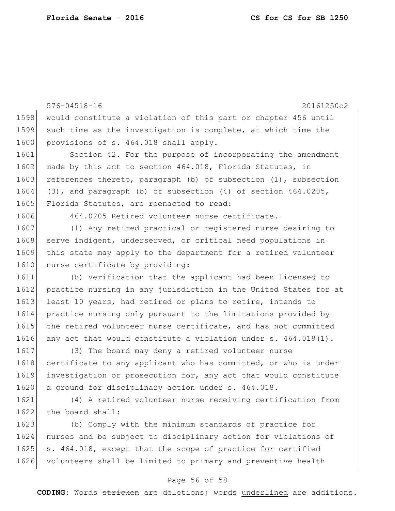576-04518-16 20161250c2 1598 would constitute a violation of this part or chapter 456 until 1599 such time as the investigation is complete, at which time the 1600 provisions of s. 464.018 shall apply. 1601 Section 42. For the purpose of incorporating the amendment 1602 made by this act to section 464.018, Florida Statutes, in 1603 references thereto, paragraph (b) of subsection  $(1)$ , subsection 1604 (3), and paragraph (b) of subsection (4) of section 464.0205, 1605 Florida Statutes, are reenacted to read: 1606 464.0205 Retired volunteer nurse certificate. 1607 (1) Any retired practical or registered nurse desiring to 1608 serve indigent, underserved, or critical need populations in 1609 this state may apply to the department for a retired volunteer 1610 nurse certificate by providing: 1611 (b) Verification that the applicant had been licensed to 1612 practice nursing in any jurisdiction in the United States for at 1613 least 10 years, had retired or plans to retire, intends to 1614 practice nursing only pursuant to the limitations provided by 1615 the retired volunteer nurse certificate, and has not committed 1616 any act that would constitute a violation under s. 464.018(1). 1617 (3) The board may deny a retired volunteer nurse 1618 certificate to any applicant who has committed, or who is under 1619 investigation or prosecution for, any act that would constitute 1620 a ground for disciplinary action under s. 464.018. 1621 (4) A retired volunteer nurse receiving certification from 1622 the board shall: 1623 (b) Comply with the minimum standards of practice for

1624 nurses and be subject to disciplinary action for violations of 1625 s. 464.018, except that the scope of practice for certified 1626 volunteers shall be limited to primary and preventive health

### Page 56 of 58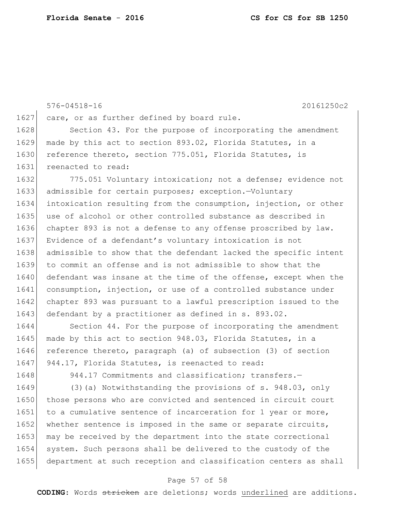576-04518-16 20161250c2 1627 care, or as further defined by board rule. 1628 Section 43. For the purpose of incorporating the amendment 1629 made by this act to section 893.02, Florida Statutes, in a 1630 reference thereto, section 775.051, Florida Statutes, is 1631 reenacted to read: 1632 775.051 Voluntary intoxication; not a defense; evidence not 1633 admissible for certain purposes; exception.-Voluntary 1634 intoxication resulting from the consumption, injection, or other 1635 use of alcohol or other controlled substance as described in 1636 chapter 893 is not a defense to any offense proscribed by law. 1637 Evidence of a defendant's voluntary intoxication is not 1638 admissible to show that the defendant lacked the specific intent 1639 to commit an offense and is not admissible to show that the 1640 defendant was insane at the time of the offense, except when the 1641 consumption, injection, or use of a controlled substance under 1642 chapter 893 was pursuant to a lawful prescription issued to the 1643 defendant by a practitioner as defined in s. 893.02. 1644 Section 44. For the purpose of incorporating the amendment 1645 made by this act to section 948.03, Florida Statutes, in a 1646 reference thereto, paragraph (a) of subsection (3) of section 1647 944.17, Florida Statutes, is reenacted to read:

1648 944.17 Commitments and classification; transfers.

1649 (3)(a) Notwithstanding the provisions of s. 948.03, only 1650 those persons who are convicted and sentenced in circuit court 1651 to a cumulative sentence of incarceration for 1 year or more, 1652 whether sentence is imposed in the same or separate circuits, 1653 may be received by the department into the state correctional 1654 system. Such persons shall be delivered to the custody of the 1655 department at such reception and classification centers as shall

### Page 57 of 58